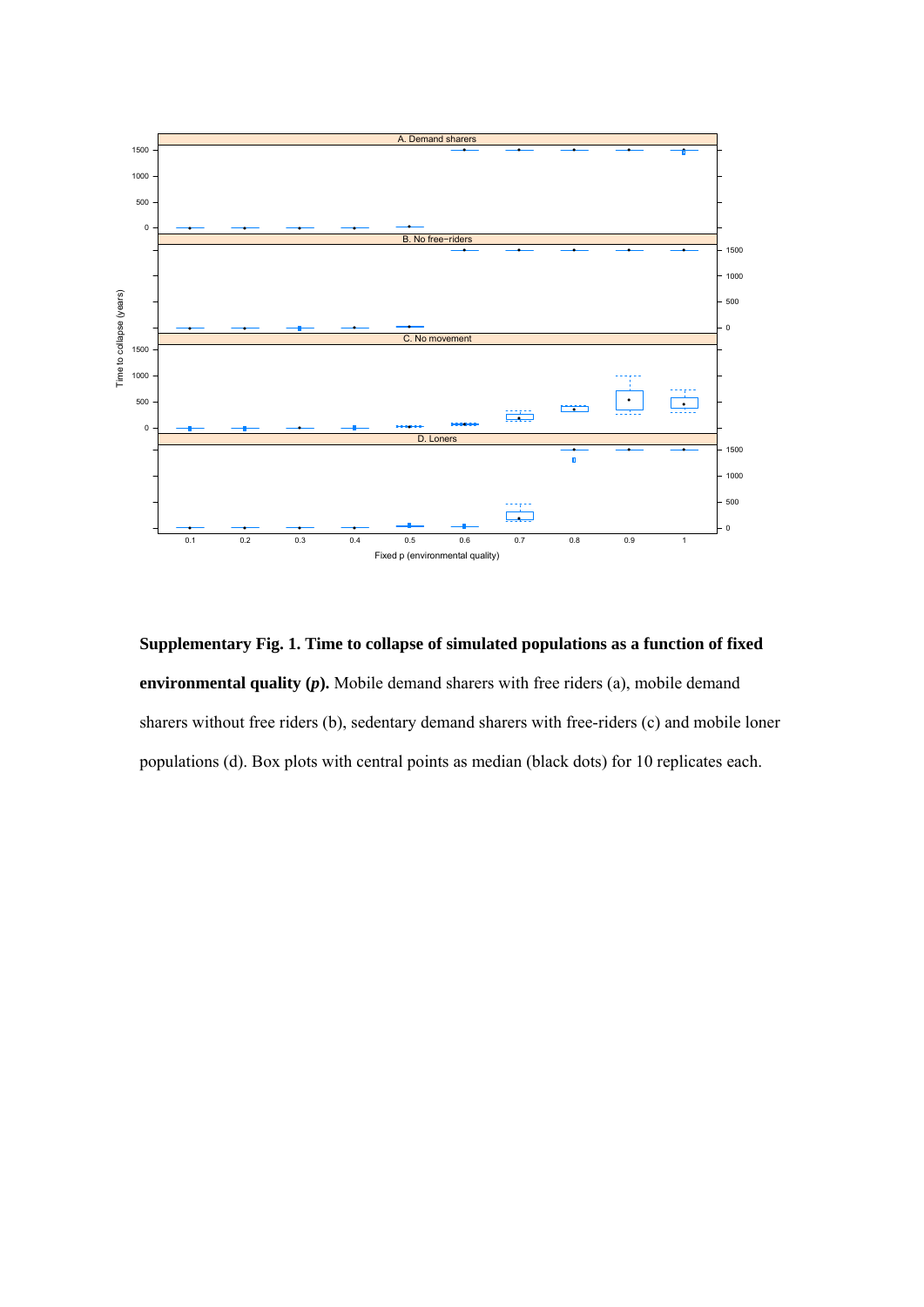

**Supplementary Fig. 1. Time to collapse of simulated populations as a function of fixed environmental quality (***p***).** Mobile demand sharers with free riders (a), mobile demand sharers without free riders (b), sedentary demand sharers with free-riders (c) and mobile loner populations (d). Box plots with central points as median (black dots) for 10 replicates each.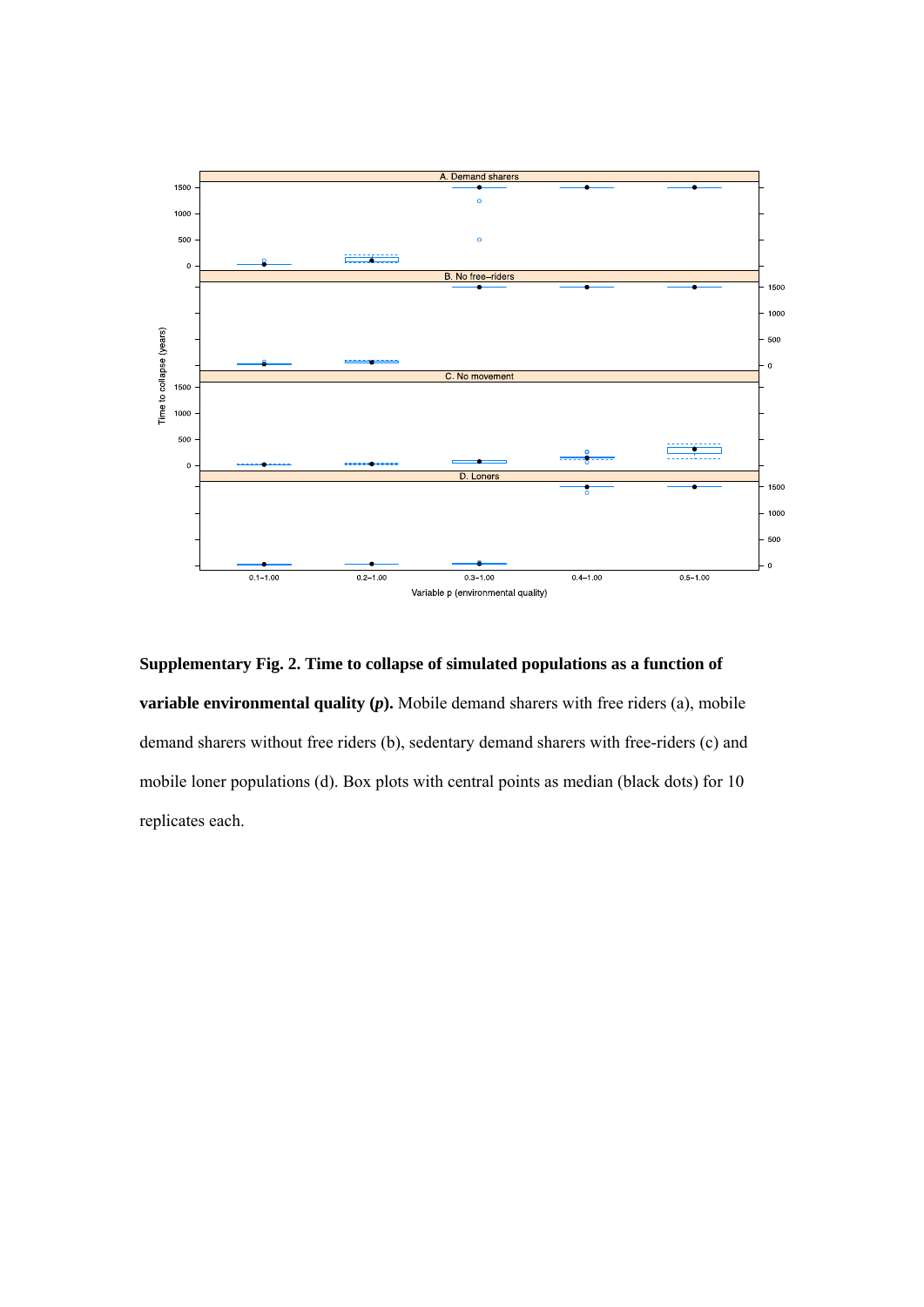

**Supplementary Fig. 2. Time to collapse of simulated populations as a function of variable environmental quality (***p*). Mobile demand sharers with free riders (a), mobile demand sharers without free riders (b), sedentary demand sharers with free-riders (c) and mobile loner populations (d). Box plots with central points as median (black dots) for 10 replicates each.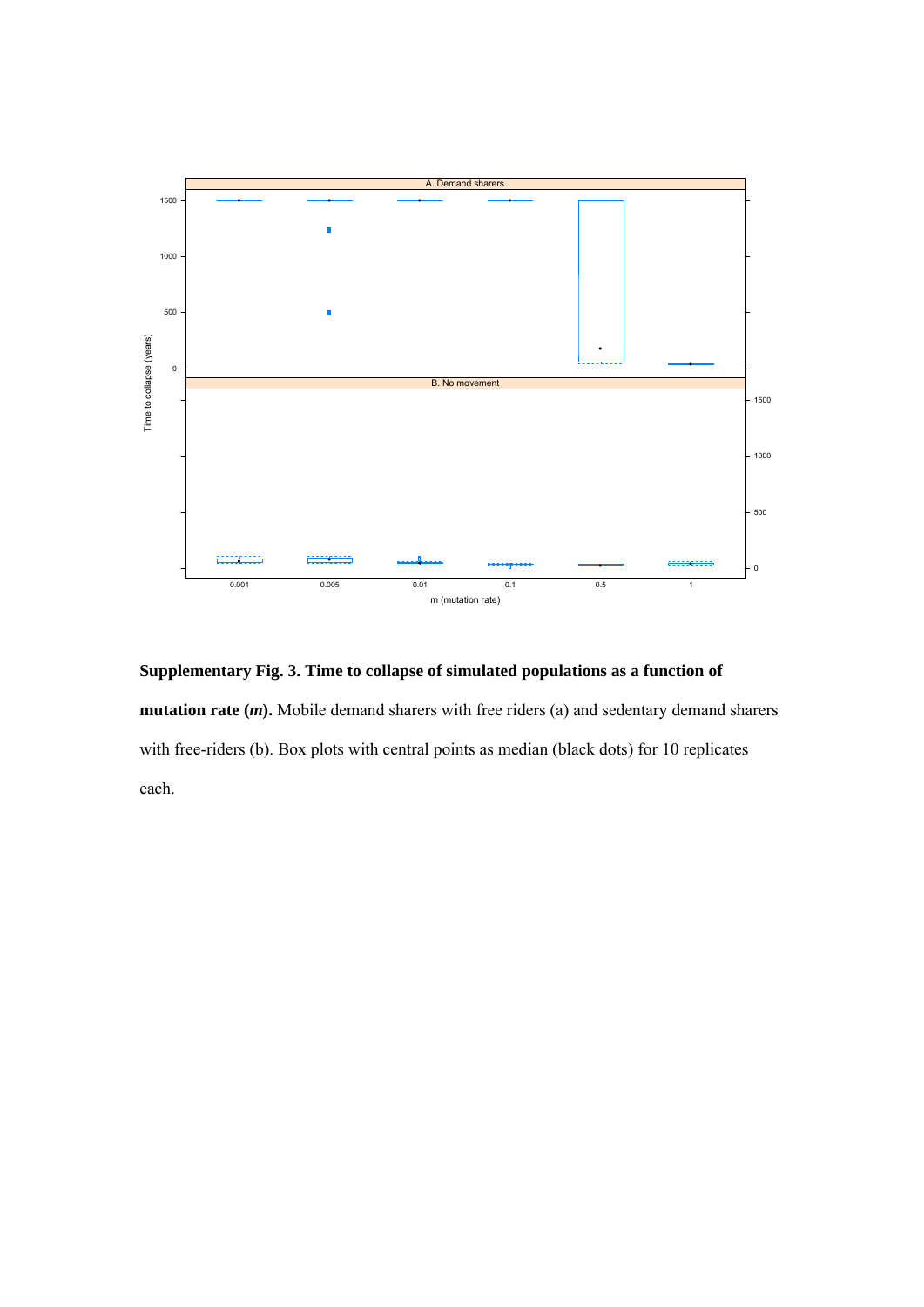

**Supplementary Fig. 3. Time to collapse of simulated populations as a function of mutation rate (***m*). Mobile demand sharers with free riders (a) and sedentary demand sharers with free-riders (b). Box plots with central points as median (black dots) for 10 replicates each.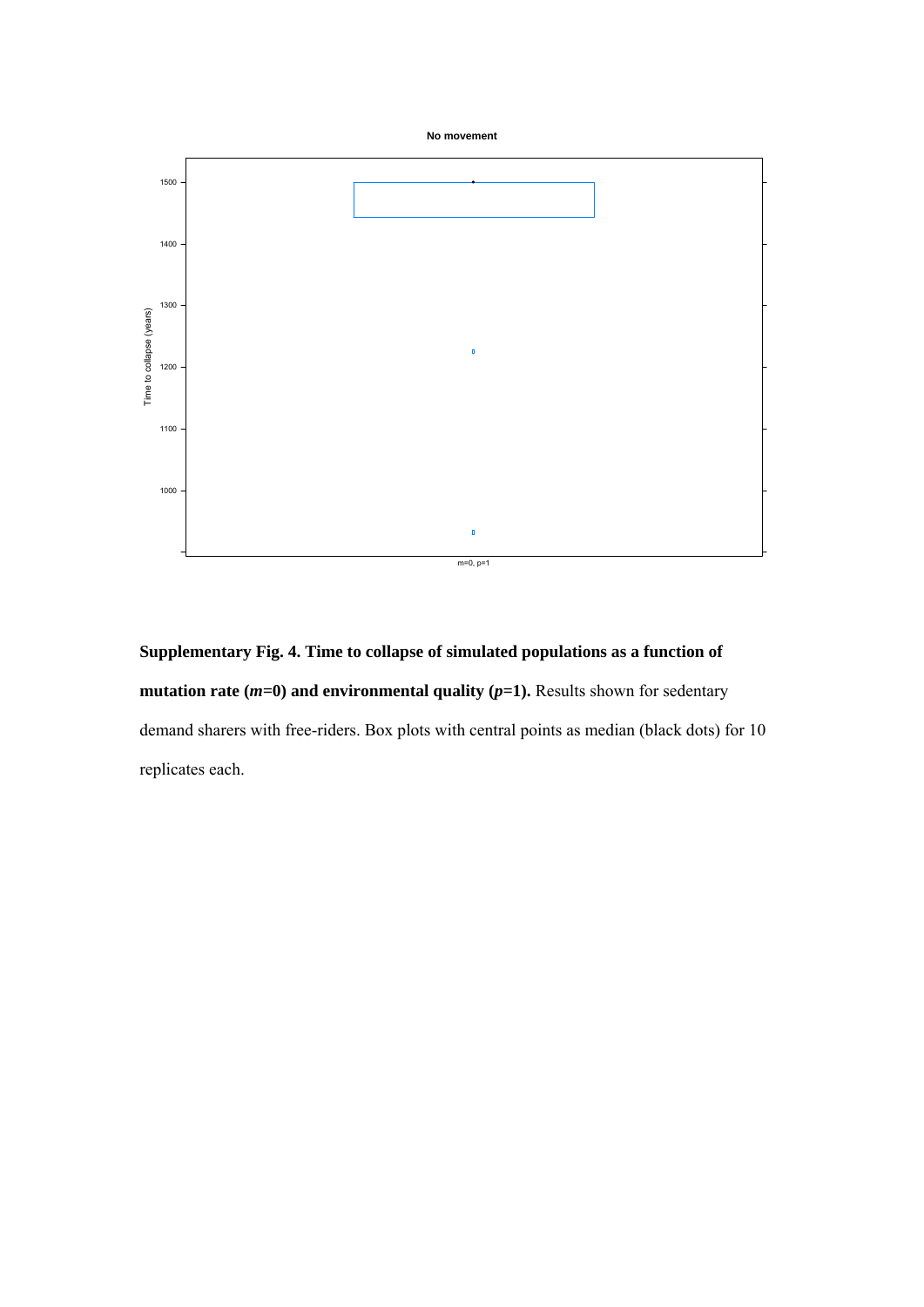



**Supplementary Fig. 4. Time to collapse of simulated populations as a function of mutation rate (** $m=0$ **) and environmental quality (** $p=1$ **).** Results shown for sedentary demand sharers with free-riders. Box plots with central points as median (black dots) for 10 replicates each.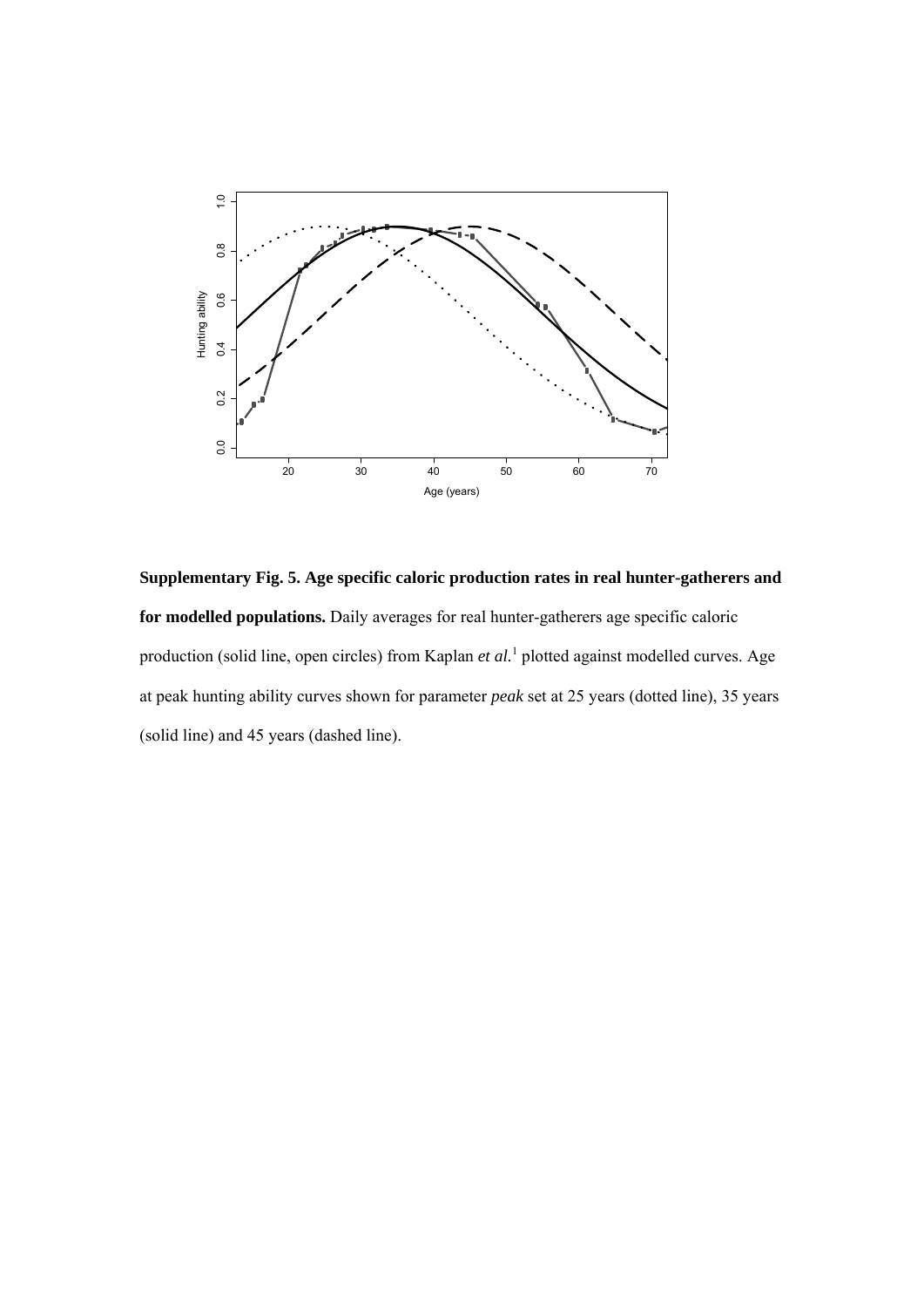

**Supplementary Fig. 5. Age specific caloric production rates in real hunter-gatherers and for modelled populations.** Daily averages for real hunter-gatherers age specific caloric production (solid line, open circles) from Kaplan *et al*.<sup>1</sup> plotted against modelled curves. Age at peak hunting ability curves shown for parameter *peak* set at 25 years (dotted line), 35 years (solid line) and 45 years (dashed line).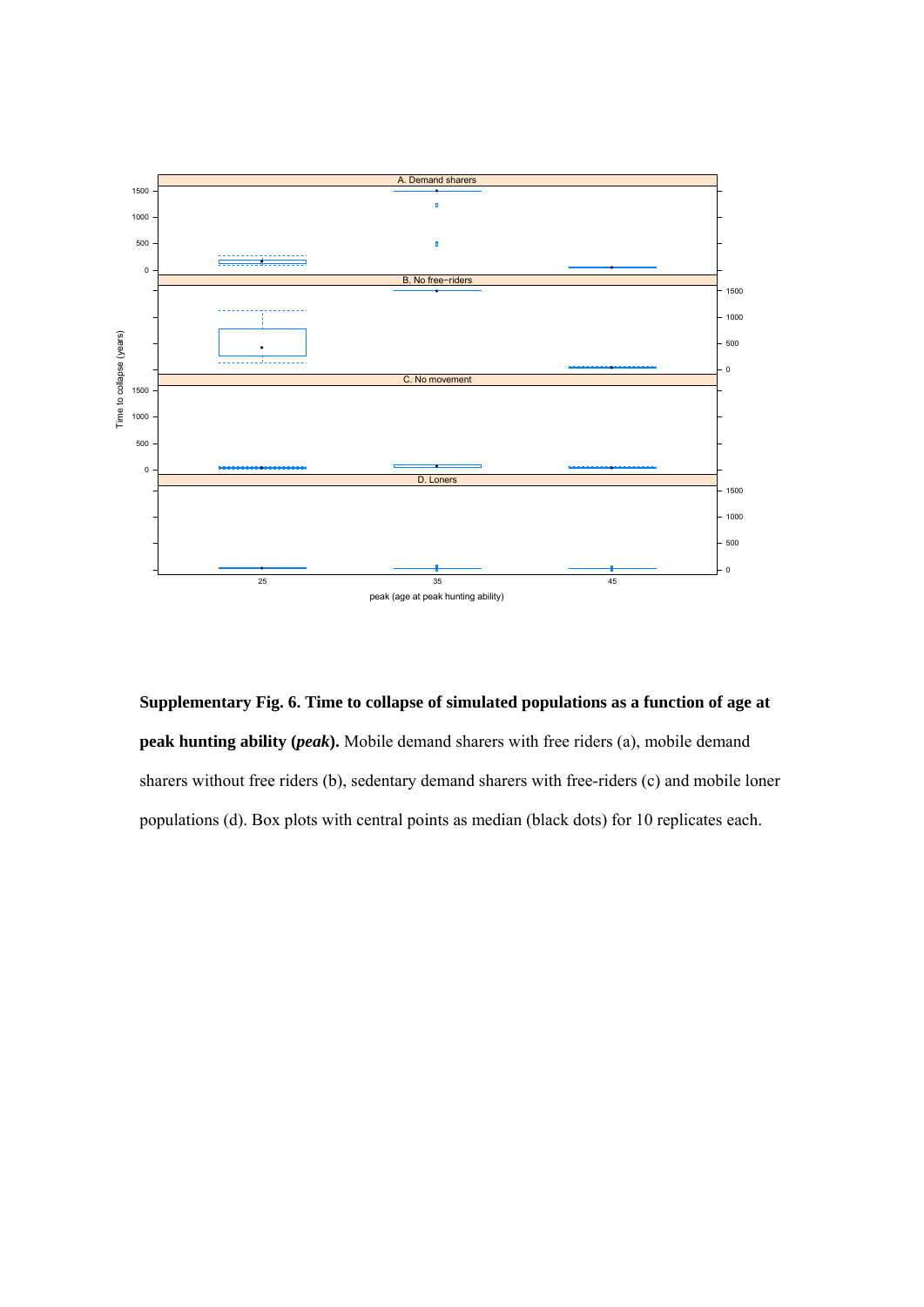

**Supplementary Fig. 6. Time to collapse of simulated populations as a function of age at peak hunting ability (***peak***).** Mobile demand sharers with free riders (a), mobile demand sharers without free riders (b), sedentary demand sharers with free-riders (c) and mobile loner populations (d). Box plots with central points as median (black dots) for 10 replicates each.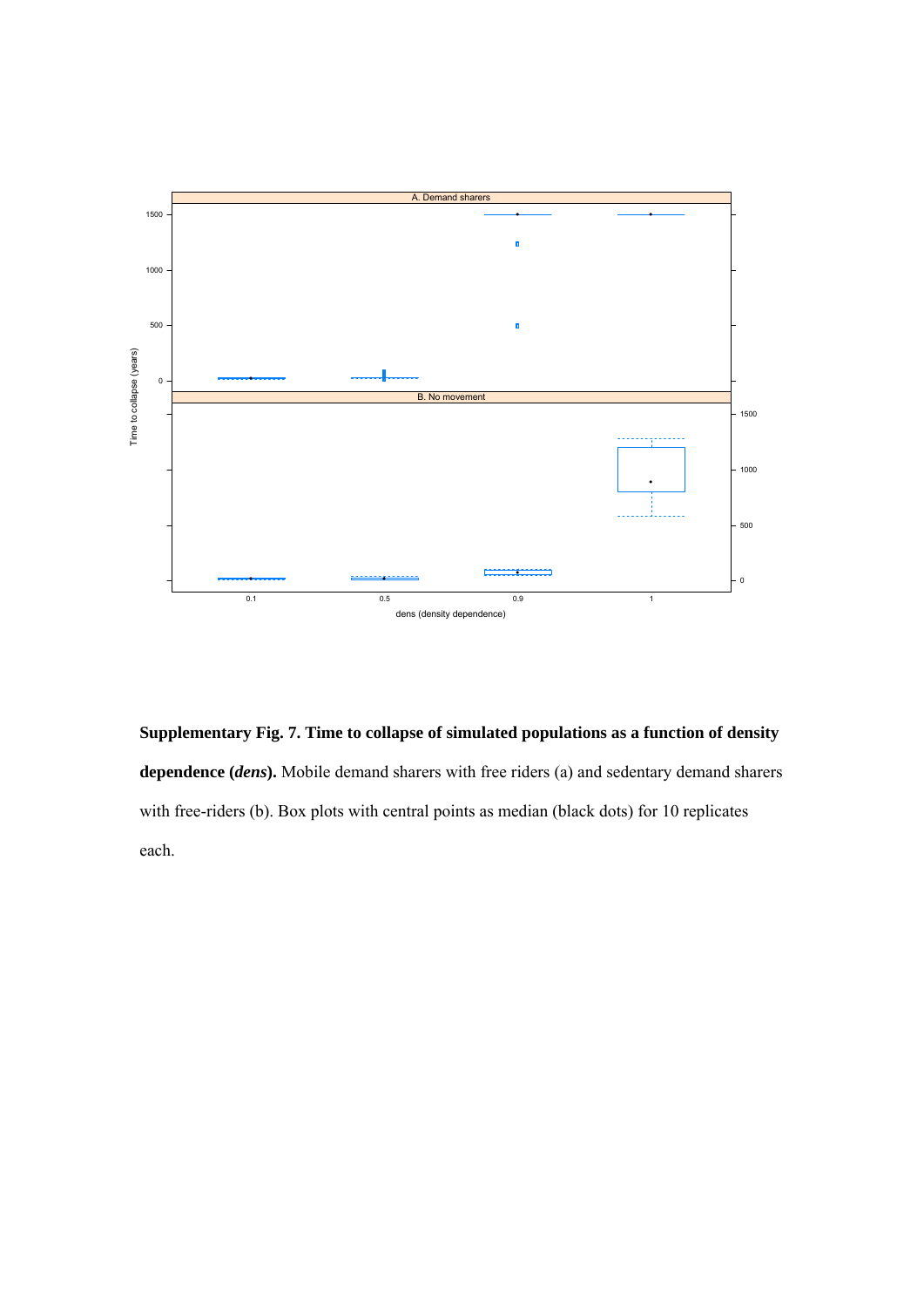

**Supplementary Fig. 7. Time to collapse of simulated populations as a function of density dependence (***dens***).** Mobile demand sharers with free riders (a) and sedentary demand sharers with free-riders (b). Box plots with central points as median (black dots) for 10 replicates each.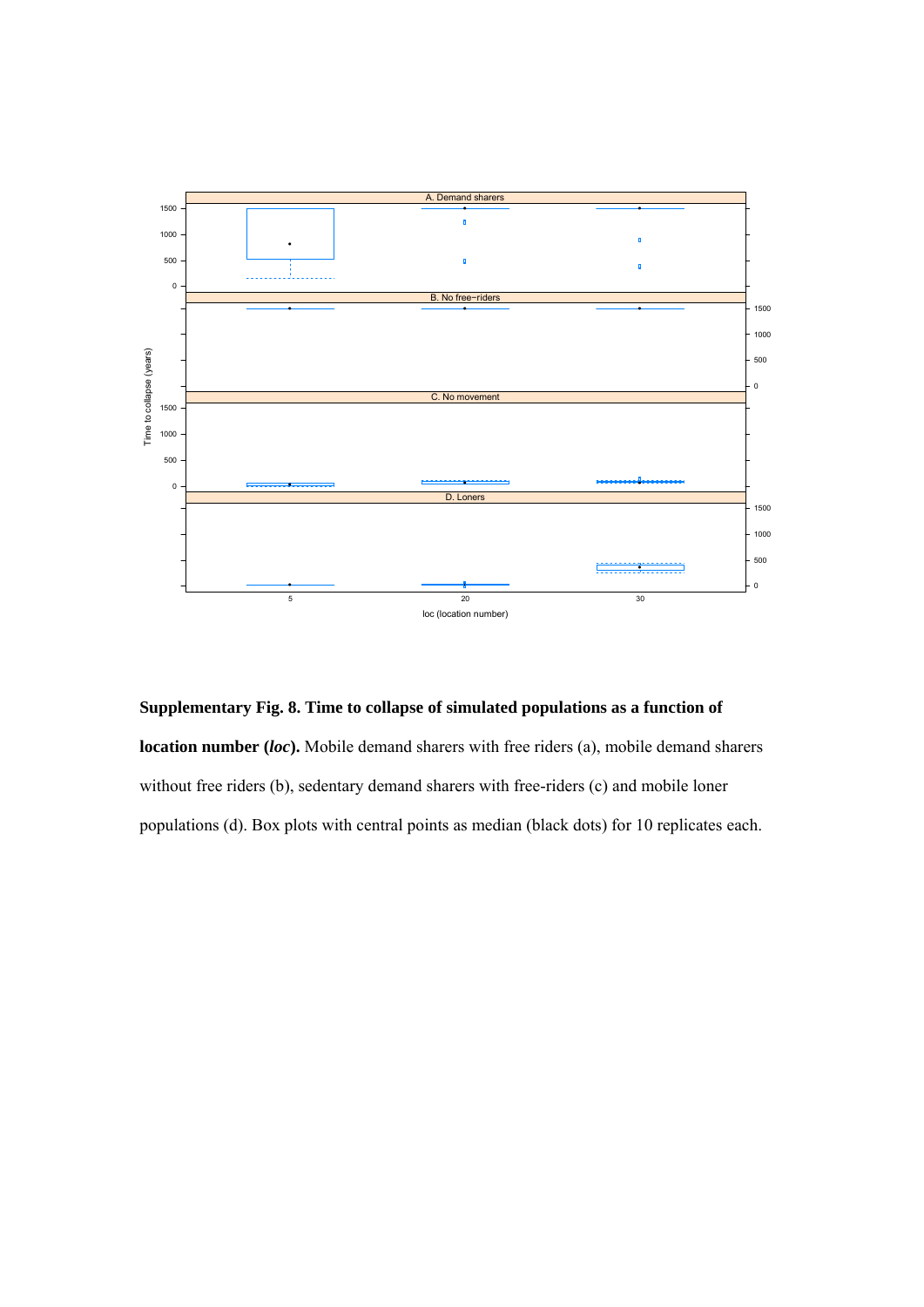

**Supplementary Fig. 8. Time to collapse of simulated populations as a function of** 

**location number (***loc***).** Mobile demand sharers with free riders (a), mobile demand sharers without free riders (b), sedentary demand sharers with free-riders (c) and mobile loner populations (d). Box plots with central points as median (black dots) for 10 replicates each.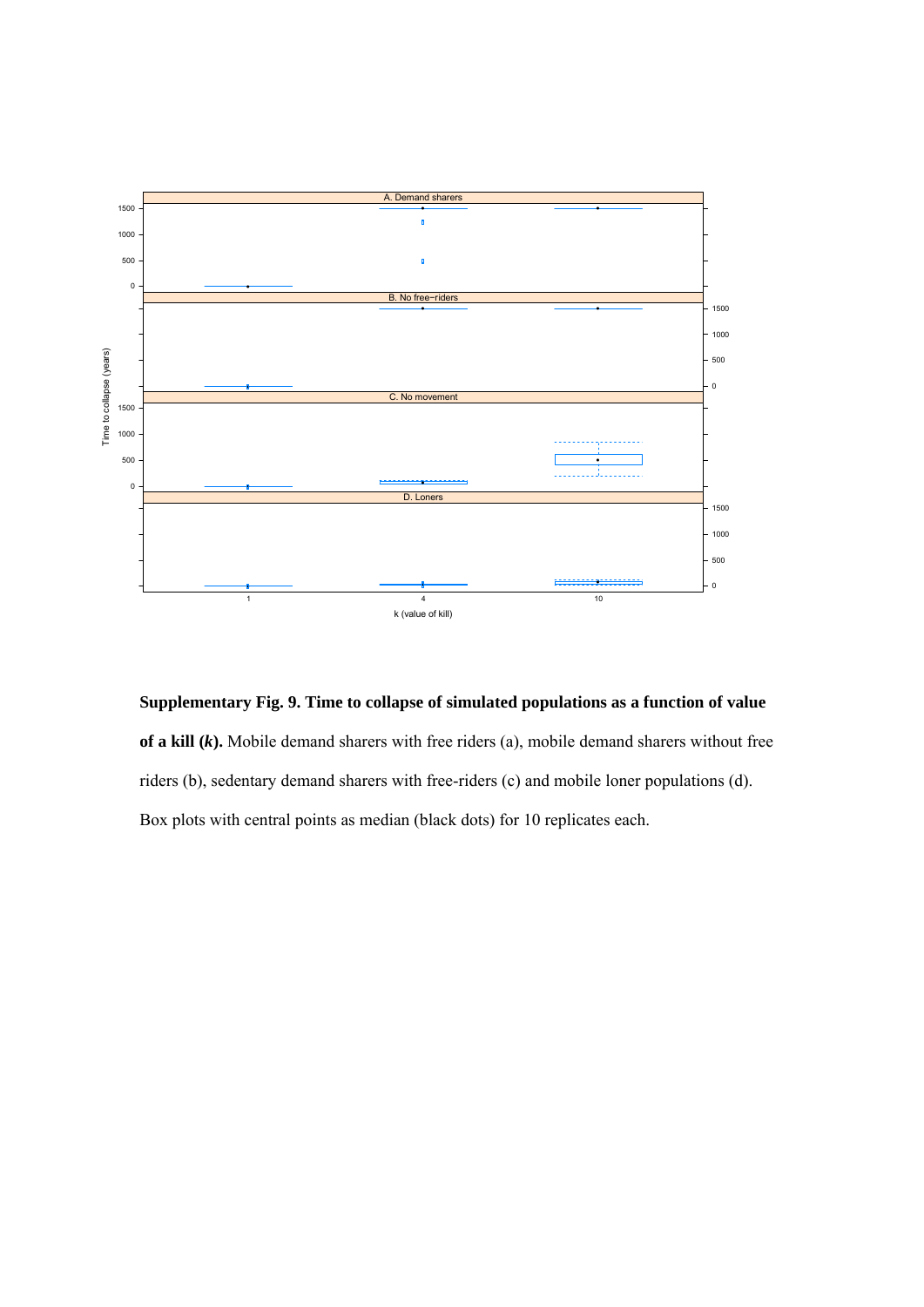

**Supplementary Fig. 9. Time to collapse of simulated populations as a function of value of a kill (***k***).** Mobile demand sharers with free riders (a), mobile demand sharers without free riders (b), sedentary demand sharers with free-riders (c) and mobile loner populations (d). Box plots with central points as median (black dots) for 10 replicates each.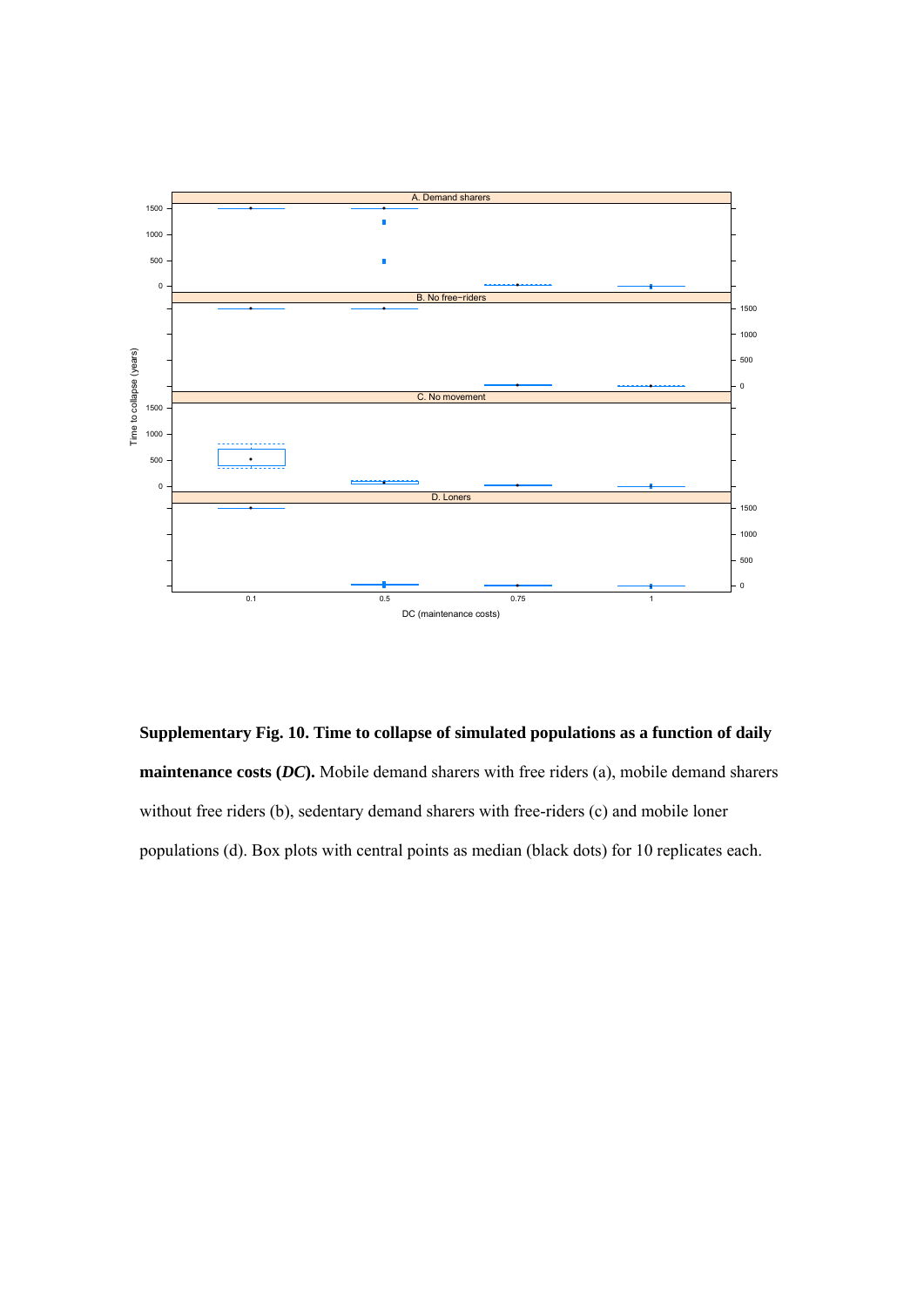

**Supplementary Fig. 10. Time to collapse of simulated populations as a function of daily maintenance costs (***DC***).** Mobile demand sharers with free riders (a), mobile demand sharers without free riders (b), sedentary demand sharers with free-riders (c) and mobile loner populations (d). Box plots with central points as median (black dots) for 10 replicates each.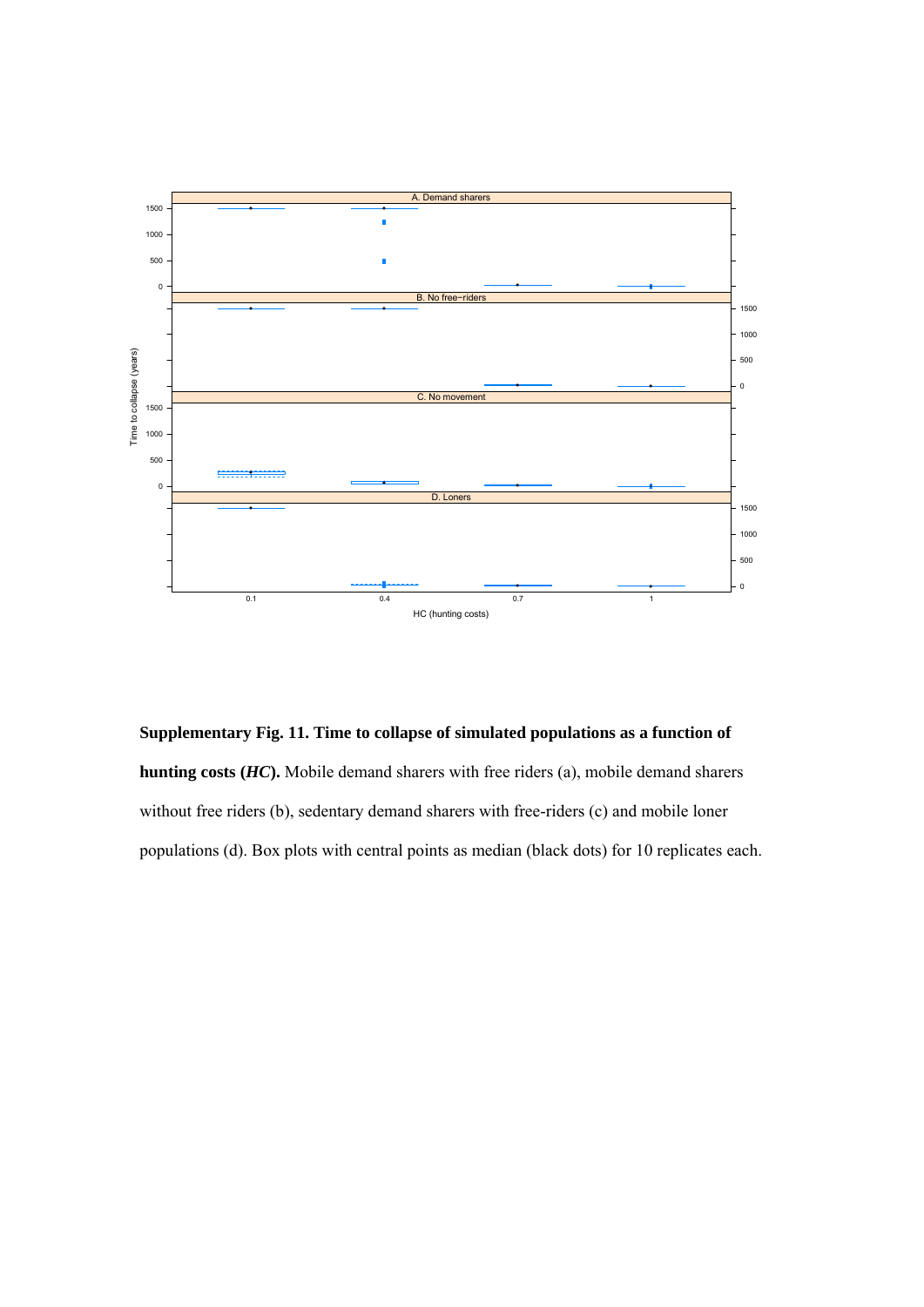

**Supplementary Fig. 11. Time to collapse of simulated populations as a function of hunting costs (***HC***).** Mobile demand sharers with free riders (a), mobile demand sharers without free riders (b), sedentary demand sharers with free-riders (c) and mobile loner populations (d). Box plots with central points as median (black dots) for 10 replicates each.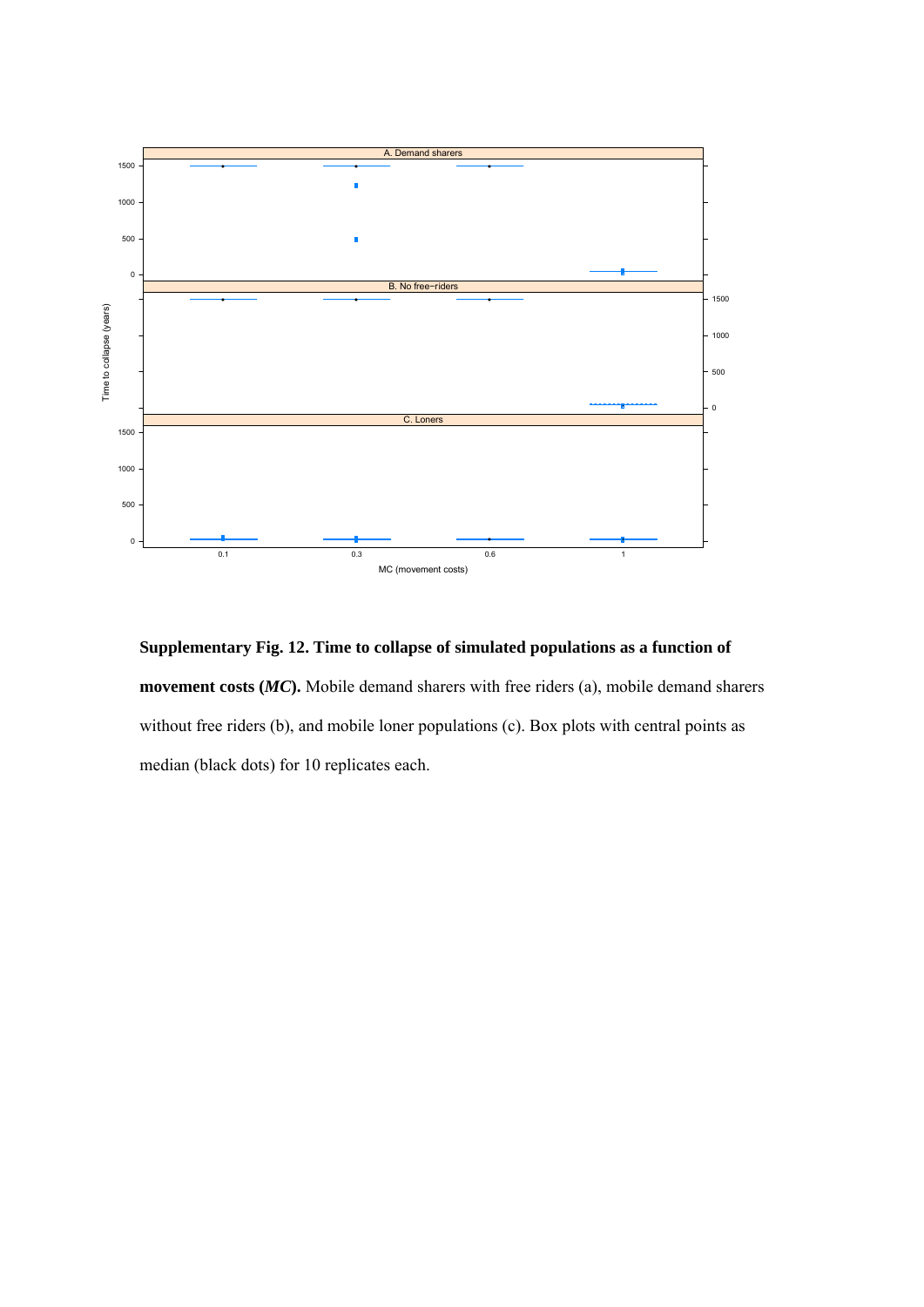

**Supplementary Fig. 12. Time to collapse of simulated populations as a function of movement costs (***MC***).** Mobile demand sharers with free riders (a), mobile demand sharers without free riders (b), and mobile loner populations (c). Box plots with central points as median (black dots) for 10 replicates each.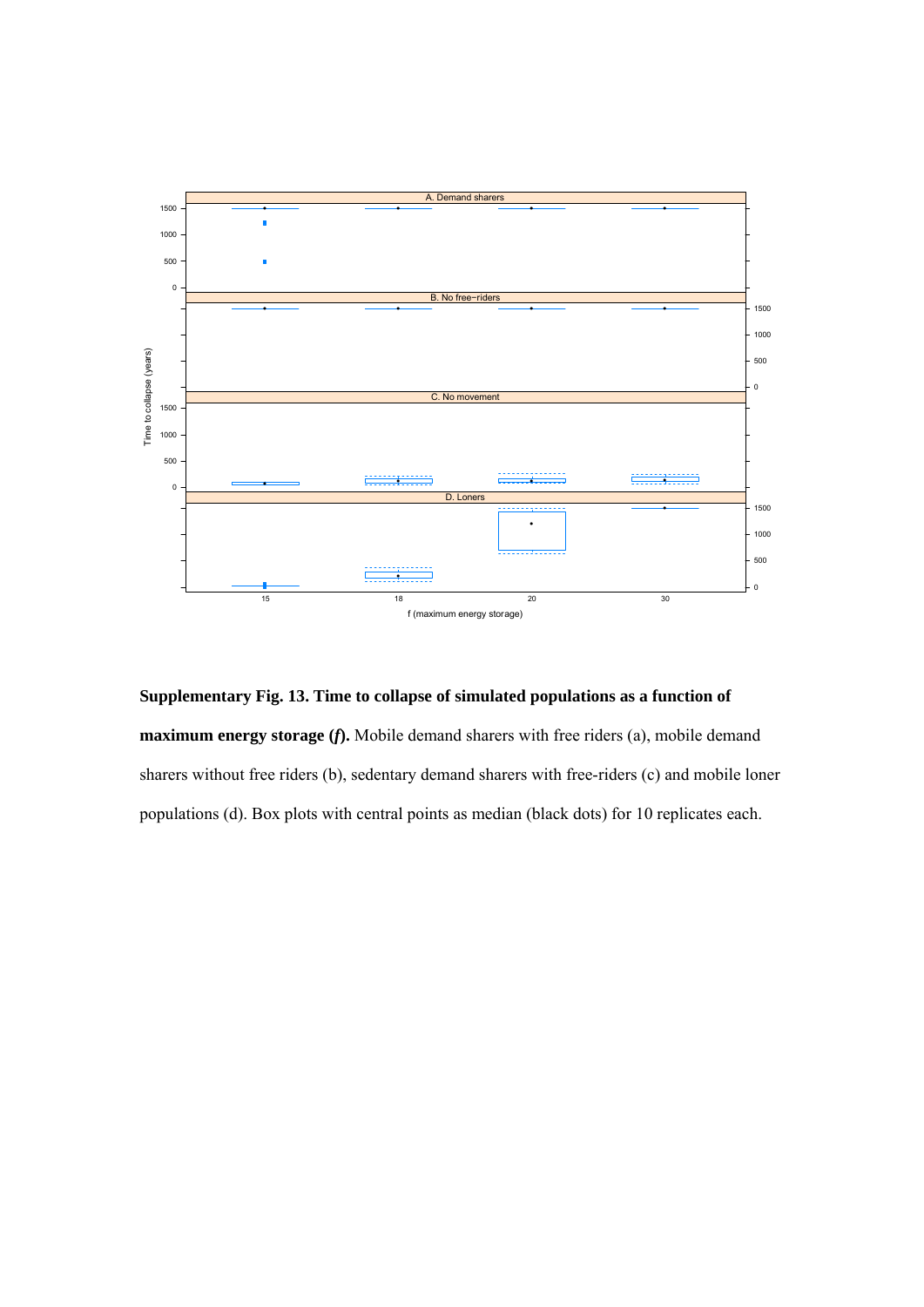

**Supplementary Fig. 13. Time to collapse of simulated populations as a function of maximum energy storage (***f***).** Mobile demand sharers with free riders (a), mobile demand sharers without free riders (b), sedentary demand sharers with free-riders (c) and mobile loner populations (d). Box plots with central points as median (black dots) for 10 replicates each.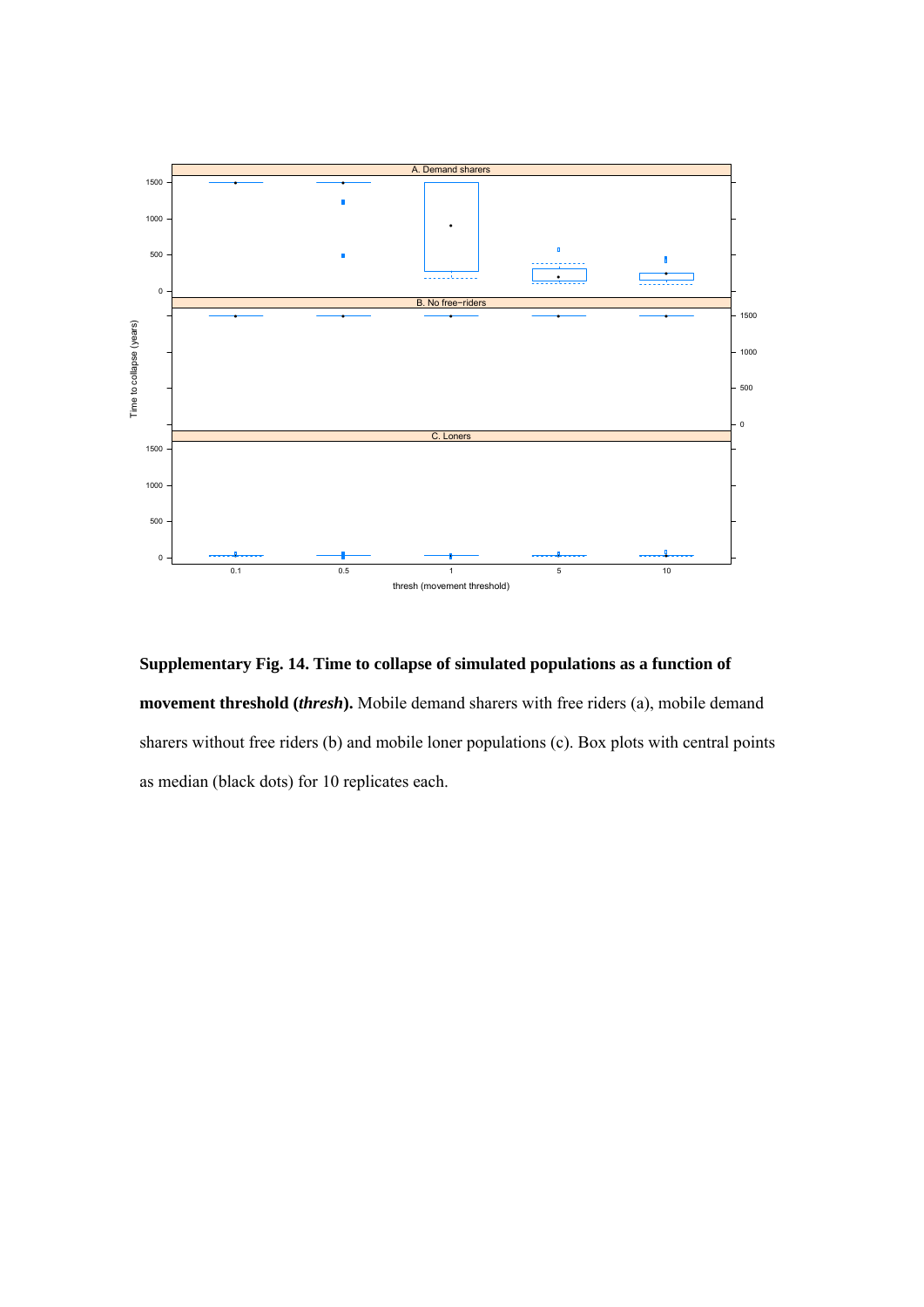

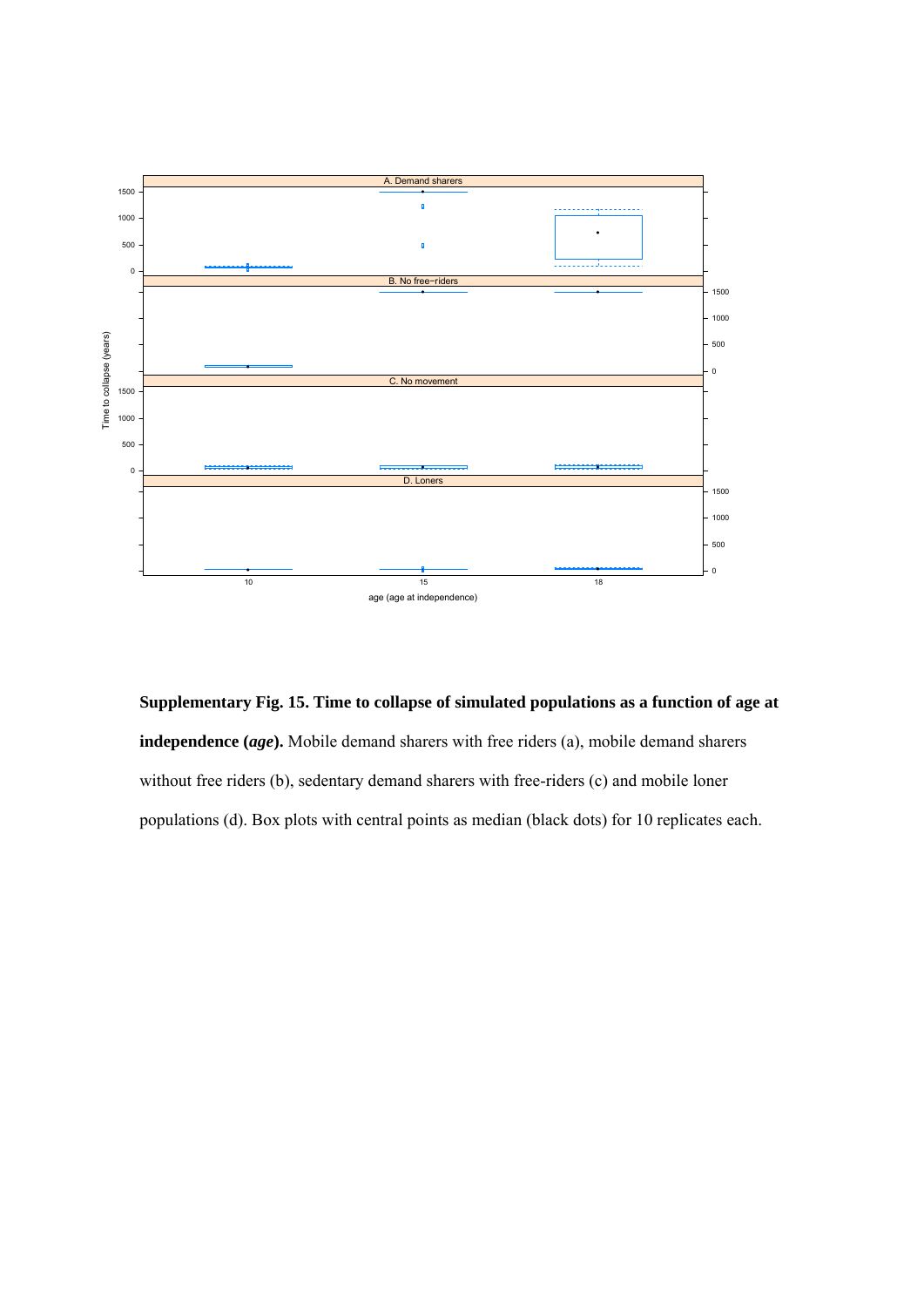

**Supplementary Fig. 15. Time to collapse of simulated populations as a function of age at independence (***age***).** Mobile demand sharers with free riders (a), mobile demand sharers without free riders (b), sedentary demand sharers with free-riders (c) and mobile loner populations (d). Box plots with central points as median (black dots) for 10 replicates each.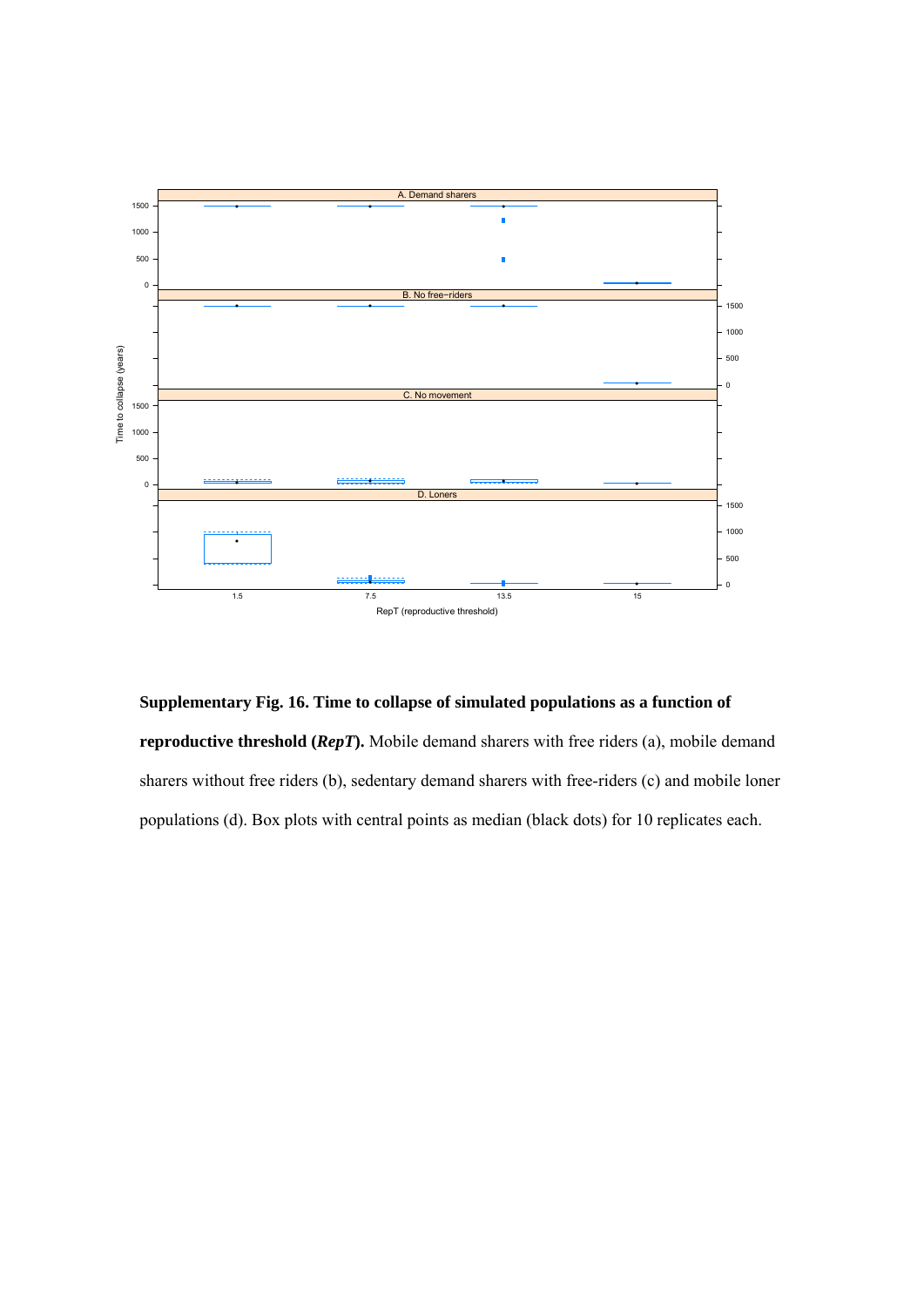

**Supplementary Fig. 16. Time to collapse of simulated populations as a function of reproductive threshold (***RepT***).** Mobile demand sharers with free riders (a), mobile demand sharers without free riders (b), sedentary demand sharers with free-riders (c) and mobile loner populations (d). Box plots with central points as median (black dots) for 10 replicates each.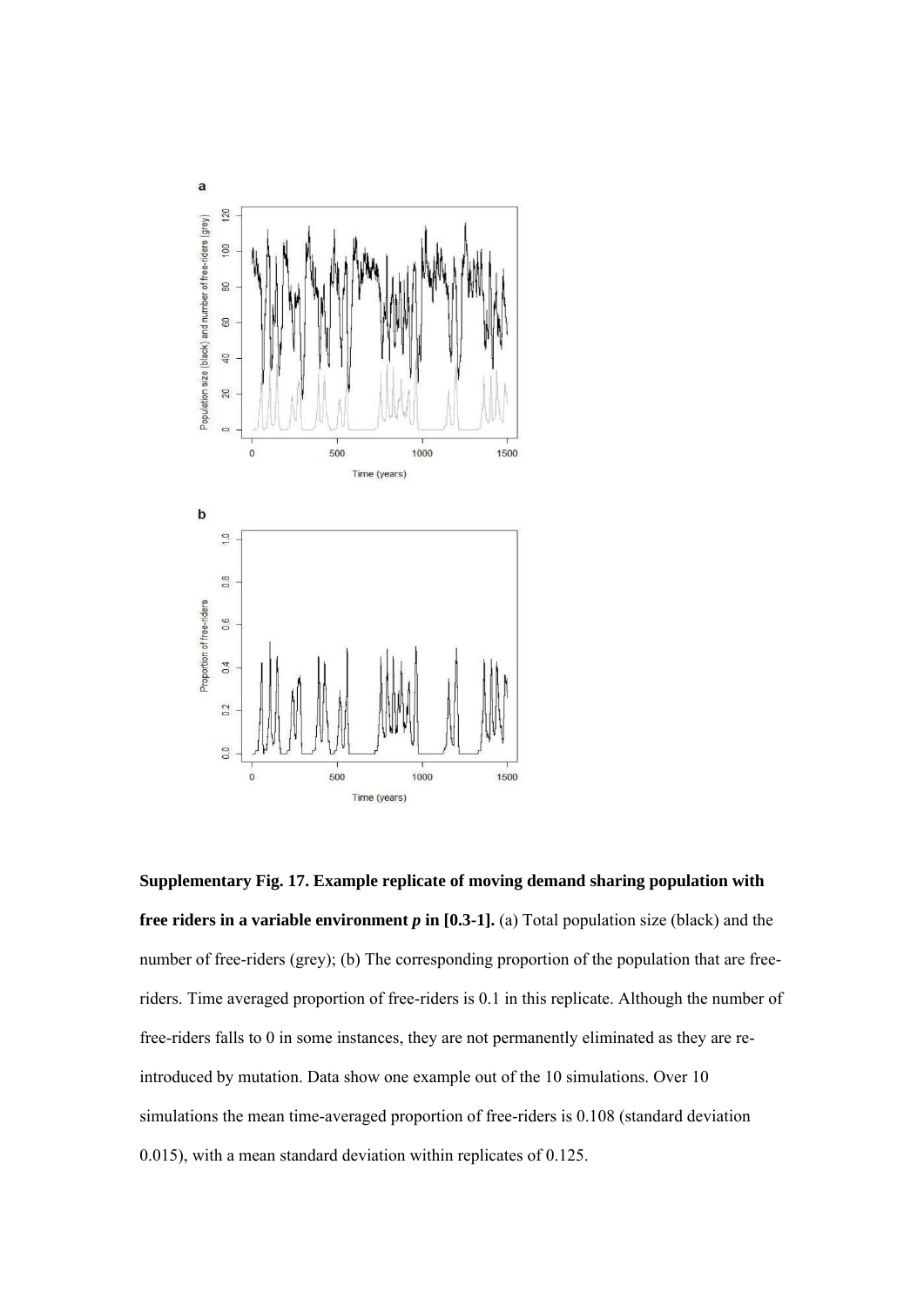

**Supplementary Fig. 17. Example replicate of moving demand sharing population with free riders in a variable environment**  $p$  **in [0.3-1]. (a) Total population size (black) and the** number of free-riders (grey); (b) The corresponding proportion of the population that are freeriders. Time averaged proportion of free-riders is 0.1 in this replicate. Although the number of free-riders falls to 0 in some instances, they are not permanently eliminated as they are reintroduced by mutation. Data show one example out of the 10 simulations. Over 10 simulations the mean time-averaged proportion of free-riders is 0.108 (standard deviation 0.015), with a mean standard deviation within replicates of 0.125.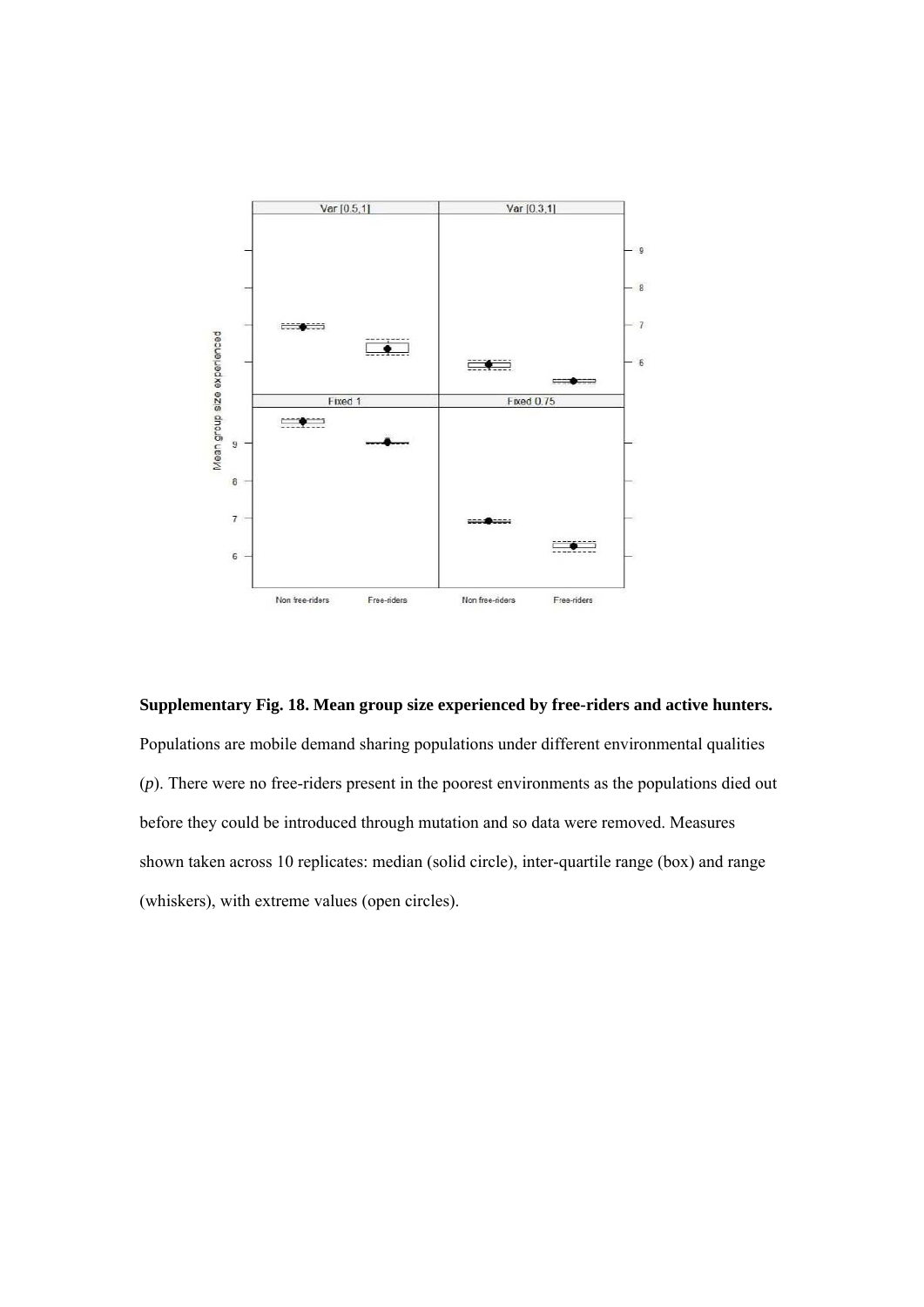

#### **Supplementary Fig. 18. Mean group size experienced by free-riders and active hunters.**

Populations are mobile demand sharing populations under different environmental qualities (*p*). There were no free-riders present in the poorest environments as the populations died out before they could be introduced through mutation and so data were removed. Measures shown taken across 10 replicates: median (solid circle), inter-quartile range (box) and range (whiskers), with extreme values (open circles).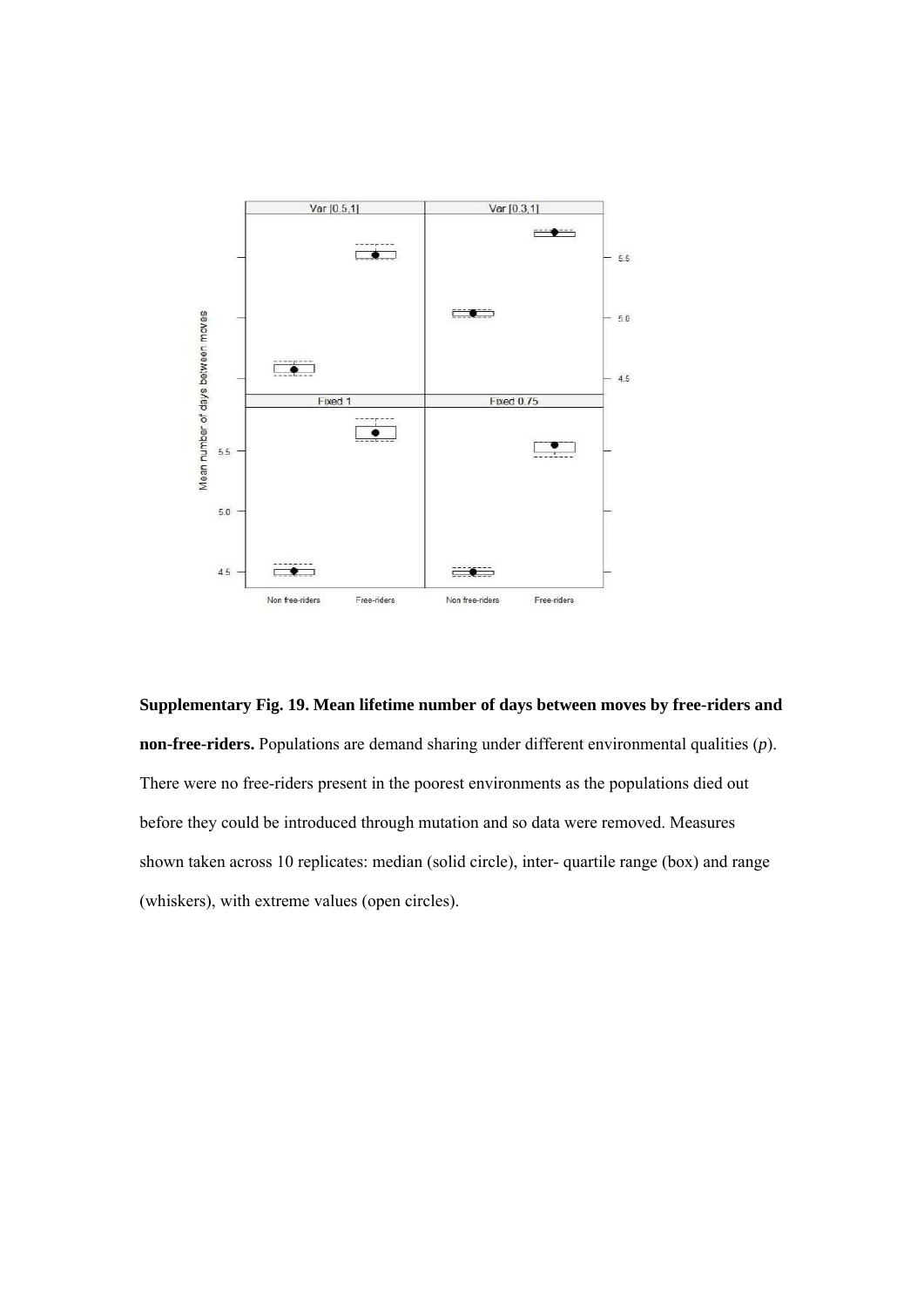

**Supplementary Fig. 19. Mean lifetime number of days between moves by free-riders and non-free-riders.** Populations are demand sharing under different environmental qualities (*p*). There were no free-riders present in the poorest environments as the populations died out before they could be introduced through mutation and so data were removed. Measures shown taken across 10 replicates: median (solid circle), inter- quartile range (box) and range (whiskers), with extreme values (open circles).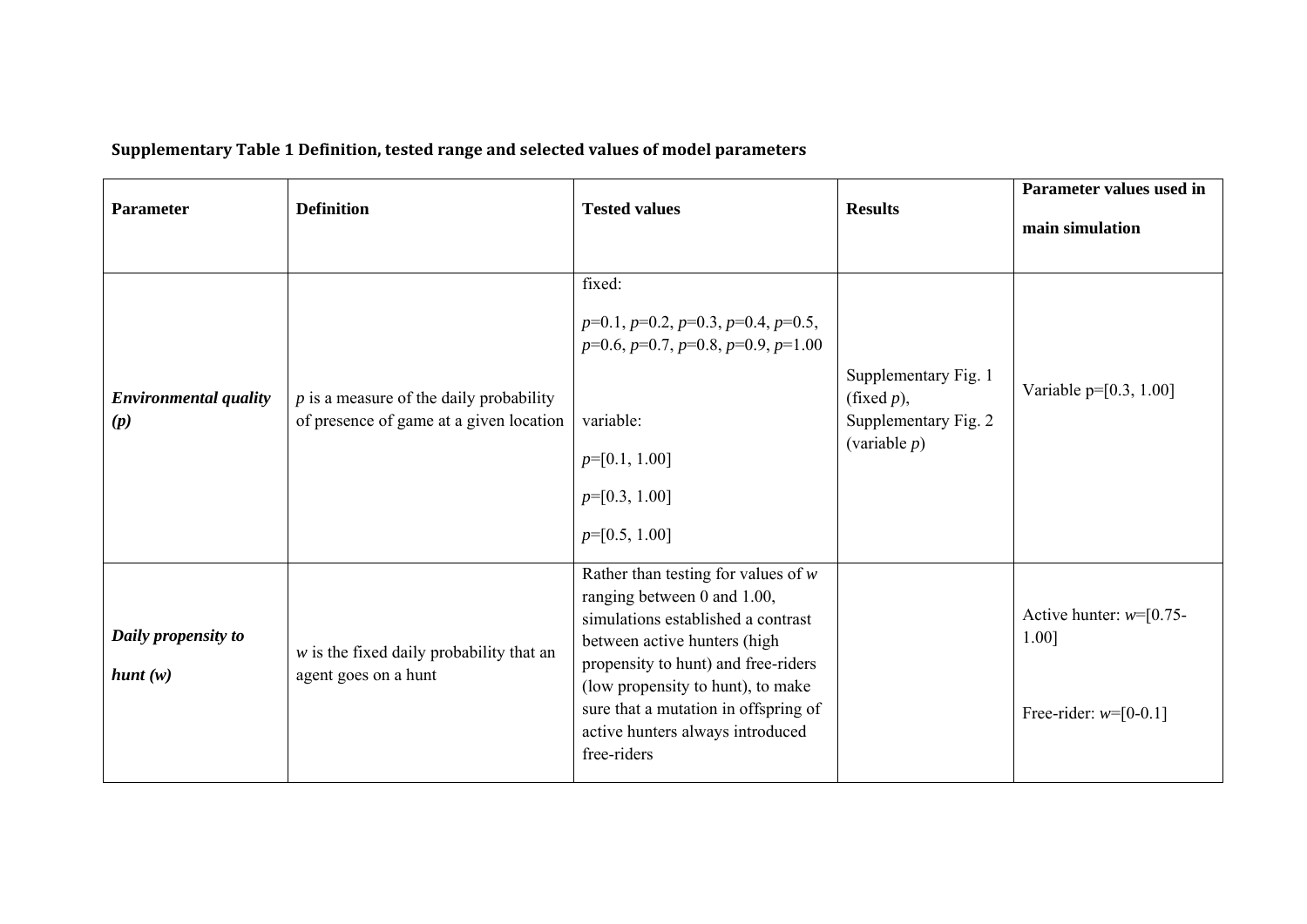| <b>Parameter</b>                    | <b>Definition</b>                                                                    | <b>Tested values</b>                                                                                                                                                                                                                                                                                              | <b>Results</b>                                                                   | Parameter values used in<br>main simulation                   |  |
|-------------------------------------|--------------------------------------------------------------------------------------|-------------------------------------------------------------------------------------------------------------------------------------------------------------------------------------------------------------------------------------------------------------------------------------------------------------------|----------------------------------------------------------------------------------|---------------------------------------------------------------|--|
| <b>Environmental quality</b><br>(p) | $p$ is a measure of the daily probability<br>of presence of game at a given location | fixed:<br>$p=0.1, p=0.2, p=0.3, p=0.4, p=0.5,$<br>$p=0.6, p=0.7, p=0.8, p=0.9, p=1.00$<br>variable:<br>$p=[0.1, 1.00]$<br>$p=[0.3, 1.00]$<br>$p=[0.5, 1.00]$                                                                                                                                                      | Supplementary Fig. 1<br>(fixed $p$ ),<br>Supplementary Fig. 2<br>(variable $p$ ) | Variable $p=[0.3, 1.00]$                                      |  |
| Daily propensity to<br>hunt(w)      | $w$ is the fixed daily probability that an<br>agent goes on a hunt                   | Rather than testing for values of $w$<br>ranging between 0 and 1.00,<br>simulations established a contrast<br>between active hunters (high<br>propensity to hunt) and free-riders<br>(low propensity to hunt), to make<br>sure that a mutation in offspring of<br>active hunters always introduced<br>free-riders |                                                                                  | Active hunter: $w=[0.75-$<br>1.00]<br>Free-rider: $w=[0-0.1]$ |  |

# **Supplementary Table 1 Definition, tested range and selected values of model parameters**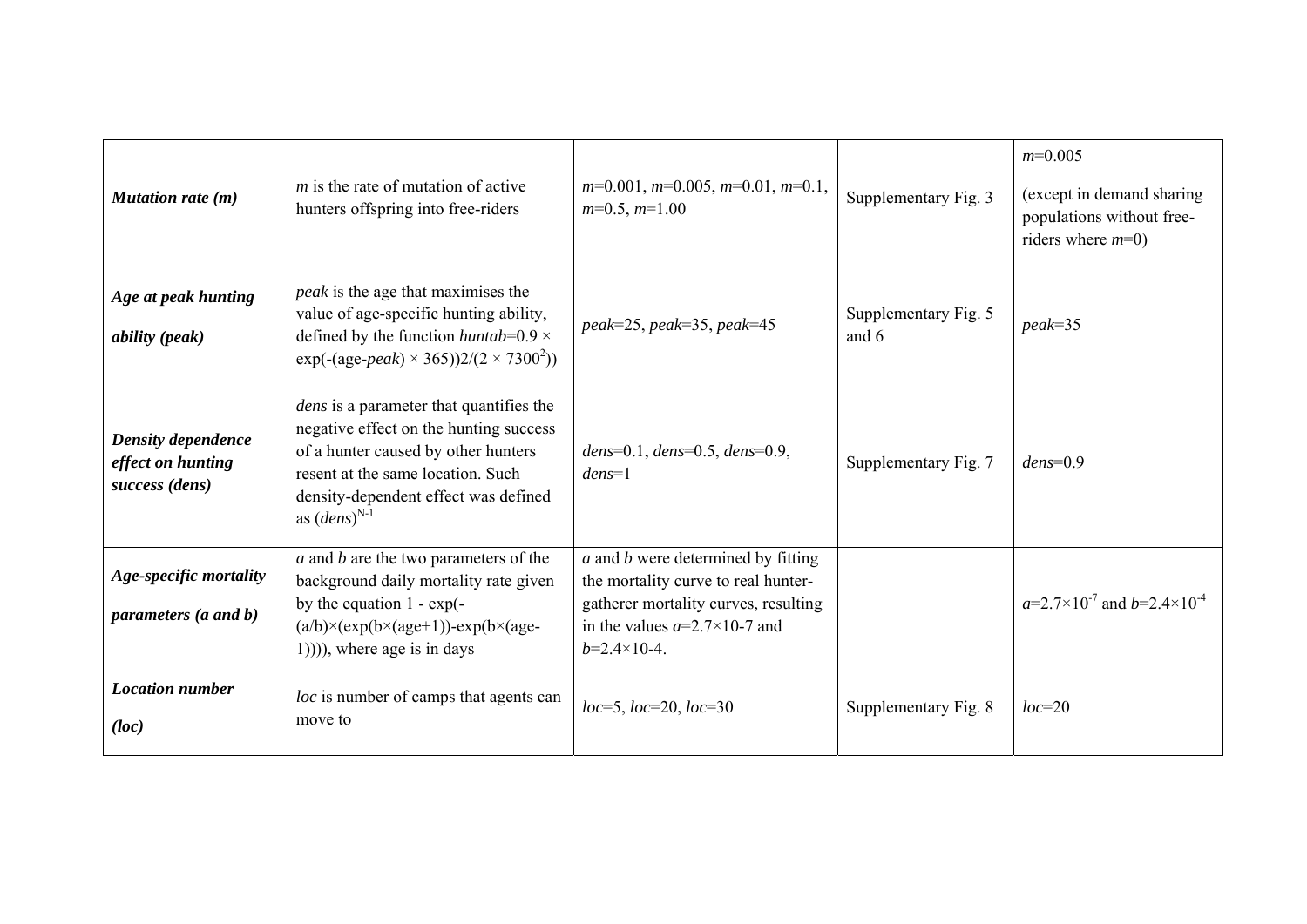| <b>Mutation rate (m)</b>                                         | $m$ is the rate of mutation of active<br>hunters offspring into free-riders                                                                                                                                                       | $m=0.001$ , $m=0.005$ , $m=0.01$ , $m=0.1$ ,<br>$m=0.5$ , $m=1.00$                                                                                                                  | Supplementary Fig. 3          | $m=0.005$<br>(except in demand sharing)<br>populations without free-<br>riders where $m=0$ ) |
|------------------------------------------------------------------|-----------------------------------------------------------------------------------------------------------------------------------------------------------------------------------------------------------------------------------|-------------------------------------------------------------------------------------------------------------------------------------------------------------------------------------|-------------------------------|----------------------------------------------------------------------------------------------|
| Age at peak hunting<br><i>ability</i> ( <i>peak</i> )            | <i>peak</i> is the age that maximises the<br>value of age-specific hunting ability,<br>defined by the function <i>huntab</i> = $0.9 \times$<br>$exp(-(age-peak) \times 365))2/(2 \times 7300^2)$                                  | $peak = 25, peak = 35, peak = 45$                                                                                                                                                   | Supplementary Fig. 5<br>and 6 | $peak = 35$                                                                                  |
| <b>Density dependence</b><br>effect on hunting<br>success (dens) | <i>dens</i> is a parameter that quantifies the<br>negative effect on the hunting success<br>of a hunter caused by other hunters<br>resent at the same location. Such<br>density-dependent effect was defined<br>as $(dens)^{N-1}$ | dens=0.1, dens=0.5, dens=0.9,<br>$dens=1$                                                                                                                                           | Supplementary Fig. 7          | $dens = 0.9$                                                                                 |
| Age-specific mortality<br>parameters (a and b)                   | $a$ and $b$ are the two parameters of the<br>background daily mortality rate given<br>by the equation $1 - \exp(-\frac{1}{2})$<br>$(a/b)\times (exp(b\times (age+1)) - exp(b\times (age-$<br>$(1))$ , where age is in days        | $a$ and $b$ were determined by fitting<br>the mortality curve to real hunter-<br>gatherer mortality curves, resulting<br>in the values $a=2.7\times10-7$ and<br>$b=2.4\times10-4$ . |                               | $a=2.7\times10^{-7}$ and $b=2.4\times10^{-4}$                                                |
| <b>Location</b> number<br>(loc)                                  | loc is number of camps that agents can<br>move to                                                                                                                                                                                 | $loc=5$ , $loc=20$ , $loc=30$                                                                                                                                                       | Supplementary Fig. 8          | $loc=20$                                                                                     |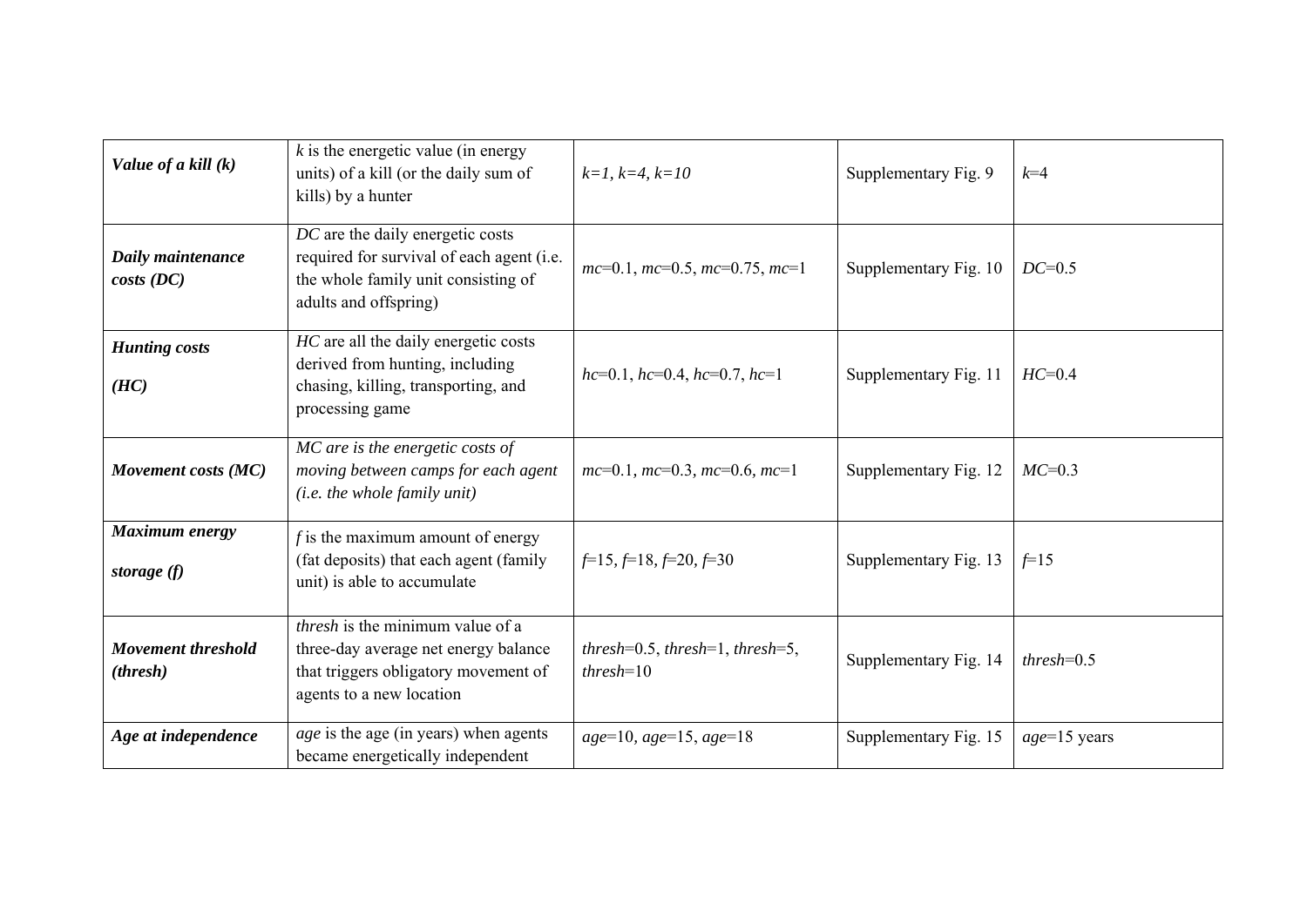| Value of a kill (k)                            | $k$ is the energetic value (in energy<br>units) of a kill (or the daily sum of<br>kills) by a hunter                                                | $k=1, k=4, k=10$                                              | Supplementary Fig. 9  | $k=4$           |
|------------------------------------------------|-----------------------------------------------------------------------------------------------------------------------------------------------------|---------------------------------------------------------------|-----------------------|-----------------|
| Daily maintenance<br>costs(DC)                 | DC are the daily energetic costs<br>required for survival of each agent (i.e.<br>the whole family unit consisting of<br>adults and offspring)       | $mc=0.1$ , $mc=0.5$ , $mc=0.75$ , $mc=1$                      | Supplementary Fig. 10 | $DC=0.5$        |
| <b>Hunting costs</b><br>(HC)                   | HC are all the daily energetic costs<br>derived from hunting, including<br>chasing, killing, transporting, and<br>processing game                   | $hc=0.1$ , $hc=0.4$ , $hc=0.7$ , $hc=1$                       | Supplementary Fig. 11 | $HC=0.4$        |
| Movement costs (MC)                            | MC are is the energetic costs of<br>moving between camps for each agent<br>(i.e. the whole family unit)                                             | $mc=0.1$ , $mc=0.3$ , $mc=0.6$ , $mc=1$                       | Supplementary Fig. 12 | $MC=0.3$        |
| Maximum energy<br>storage $(f)$                | f is the maximum amount of energy<br>(fat deposits) that each agent (family<br>unit) is able to accumulate                                          | $f=15, f=18, f=20, f=30$                                      | Supplementary Fig. 13 | $f=15$          |
| <b>Movement threshold</b><br>( <i>thresh</i> ) | <i>thresh</i> is the minimum value of a<br>three-day average net energy balance<br>that triggers obligatory movement of<br>agents to a new location | thresh= $0.5$ , thresh= $1$ , thresh= $5$ ,<br>$threshold=10$ | Supplementary Fig. 14 | $threshold=0.5$ |
| Age at independence                            | <i>age</i> is the age (in years) when agents<br>became energetically independent                                                                    | $age=10, age=15, age=18$                                      | Supplementary Fig. 15 | $age=15$ years  |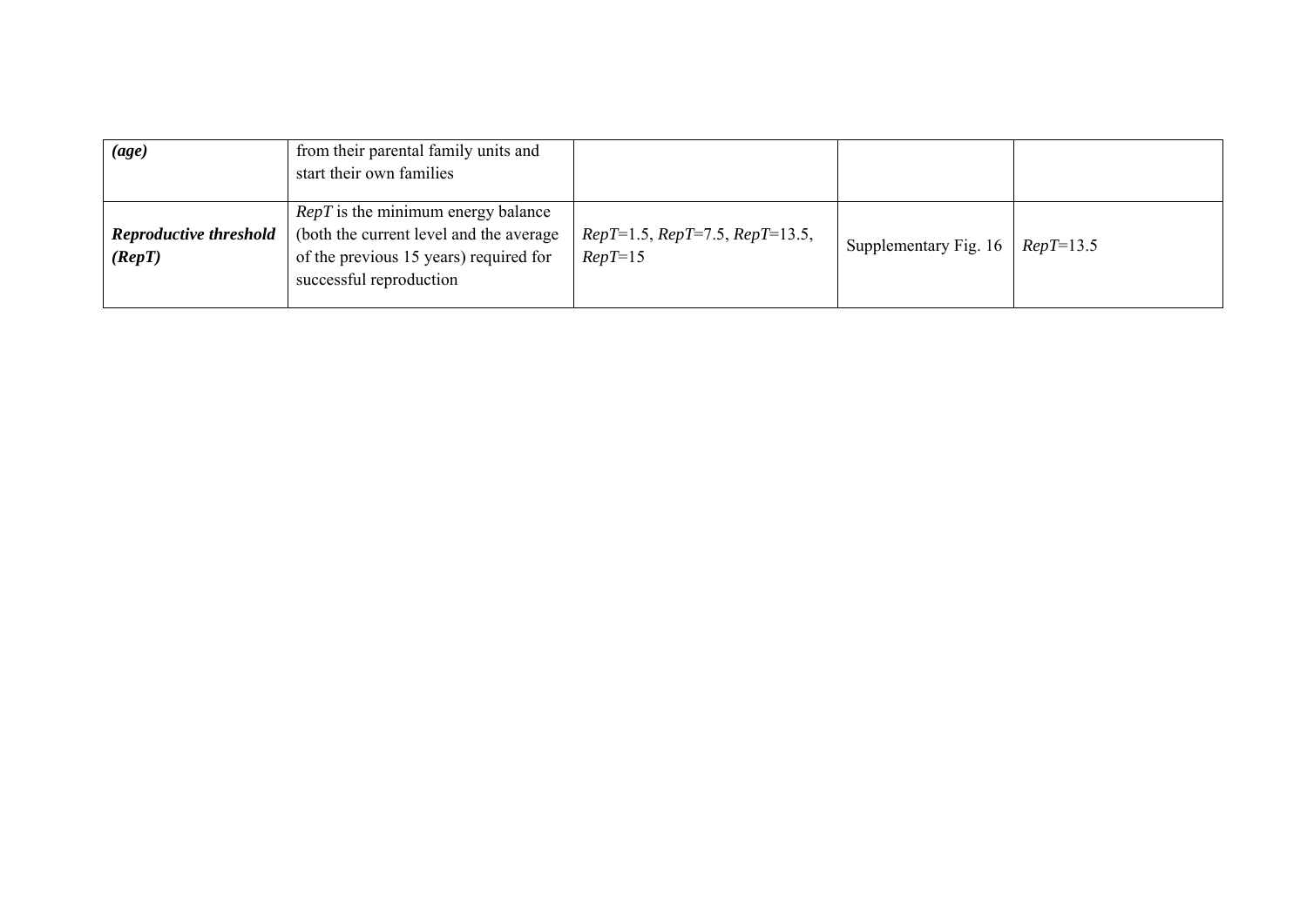| $\left( age\right)$                                 | from their parental family units and<br>start their own families                                                                                     |                                               |                                     |  |
|-----------------------------------------------------|------------------------------------------------------------------------------------------------------------------------------------------------------|-----------------------------------------------|-------------------------------------|--|
| <b>Reproductive threshold</b><br>$(\mathbf{Rep} T)$ | $RepT$ is the minimum energy balance<br>(both the current level and the average<br>of the previous 15 years) required for<br>successful reproduction | $RepT=1.5, RepT=7.5, RepT=13.5,$<br>$RepT=15$ | Supplementary Fig. 16   $RepT=13.5$ |  |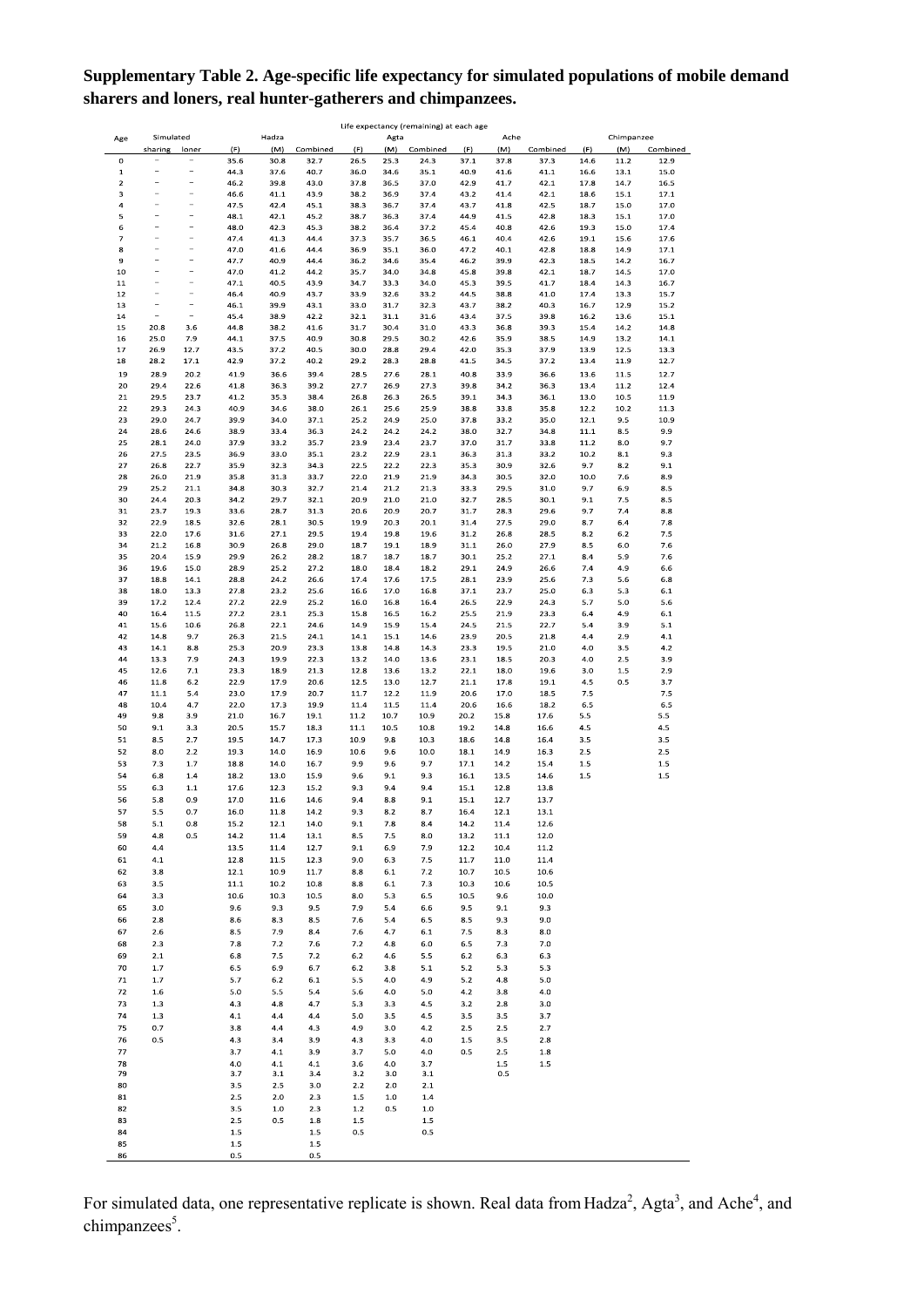## **Supplementary Table 2. Age-specific life expectancy for simulated populations of mobile demand sharers and loners, real hunter-gatherers and chimpanzees.**

|                         | Life expectancy (remaining) at each age |                          |         |         |          |      |      |          |         |         |          |      |            |          |
|-------------------------|-----------------------------------------|--------------------------|---------|---------|----------|------|------|----------|---------|---------|----------|------|------------|----------|
| Age                     | Simulated                               |                          |         | Hadza   |          |      | Agta |          |         | Ache    |          |      | Chimpanzee |          |
|                         | sharing                                 | loner                    | (F)     | (M)     | Combined | (F)  | (M)  | Combined | (F)     | (M)     | Combined | (F)  | (M)        | Combined |
| $\Omega$                |                                         |                          | 35.6    | 30.8    | 32.7     | 26.5 | 25.3 | 24.3     | 37.1    | 37.8    | 37.3     | 14.6 | 11.2       | 12.9     |
| $\mathbf 1$             |                                         |                          | 44.3    | 37.6    | 40.7     | 36.0 | 34.6 | 35.1     | 40.9    | 41.6    | 41.1     | 16.6 | 13.1       | 15.0     |
| $\overline{\mathbf{2}}$ |                                         | $\overline{a}$           | 46.2    | 39.8    | 43.0     | 37.8 | 36.5 | 37.0     | 42.9    | 41.7    | 42.1     | 17.8 | 14.7       | 16.5     |
| з                       |                                         | $\overline{a}$           | 46.6    | 41.1    | 43.9     | 38.2 | 36.9 | 37.4     | 43.2    | 41.4    | 42.1     | 18.6 | 15.1       | 17.1     |
| $\overline{a}$          |                                         |                          | 47.5    | 42.4    | 45.1     | 38.3 | 36.7 | 37.4     | 43.7    | 41.8    | 42.5     | 18.7 | 15.0       | 17.0     |
| 5                       | ۰                                       | i.                       | 48.1    | 42.1    | 45.2     | 38.7 | 36.3 | 37.4     | 44.9    | 41.5    | 42.8     | 18.3 | 15.1       | 17.0     |
| 6                       | ÷                                       | $\overline{\phantom{a}}$ | 48.0    | 42.3    | 45.3     | 38.2 | 36.4 | 37.2     | 45.4    | 40.8    | 42.6     | 19.3 | 15.0       | 17.4     |
| 7                       | ÷                                       | -                        | 47.4    | 41.3    | 44.4     | 37.3 | 35.7 | 36.5     | 46.1    | 40.4    | 42.6     | 19.1 | 15.6       | 17.6     |
| 8                       |                                         | i.                       | 47.0    | 41.6    | 44.4     | 36.9 | 35.1 | 36.0     | 47.2    | 40.1    | 42.8     | 18.8 | 14.9       | 17.1     |
| $\overline{9}$          | Ĭ.                                      | $\overline{a}$           | 47.7    | 40.9    | 44.4     | 36.2 | 34.6 | 35.4     | 46.2    | 39.9    | 42.3     | 18.5 | 14.2       | 16.7     |
| 10                      | $\overline{a}$                          | $\overline{a}$           | 47.0    | 41.2    | 44.2     | 35.7 | 34.0 | 34.8     | 45.8    | 39.8    | 42.1     | 18.7 | 14.5       | 17.0     |
| 11                      | L,                                      | L,                       | 47.1    | 40.5    | 43.9     | 34.7 | 33.3 | 34.0     | 45.3    | 39.5    | 41.7     | 18.4 | 14.3       | 16.7     |
| 12                      |                                         |                          | 46.4    | 40.9    | 43.7     | 33.9 | 32.6 | 33.2     | 44.5    | 38.8    | 41.0     | 17.4 | 13.3       | 15.7     |
| 13                      | $\blacksquare$                          | $\overline{a}$           | 46.1    | 39.9    | 43.1     | 33.0 | 31.7 | 32.3     | 43.7    | 38.2    | 40.3     | 16.7 | 12.9       | 15.2     |
| 14                      |                                         |                          | 45.4    | 38.9    | 42.2     | 32.1 | 31.1 | 31.6     | 43.4    | 37.5    | 39.8     | 16.2 | 13.6       | 15.1     |
| 15                      | 20.8                                    | 3.6                      | 44.8    | 38.2    | 41.6     | 31.7 | 30.4 | 31.0     | 43.3    | 36.8    | 39.3     | 15.4 | 14.2       | 14.8     |
| 16                      | 25.0                                    | 7.9                      | 44.1    | 37.5    | 40.9     | 30.8 | 29.5 | 30.2     | 42.6    | 35.9    | 38.5     | 14.9 | 13.2       | 14.1     |
| 17                      | 26.9                                    | 12.7                     | 43.5    | 37.2    | 40.5     | 30.0 | 28.8 | 29.4     | 42.0    | 35.3    | 37.9     | 13.9 | 12.5       | 13.3     |
| 18                      | 28.2                                    | 17.1                     | 42.9    | 37.2    | 40.2     | 29.2 | 28.3 | 28.8     | 41.5    | 34.5    | 37.2     | 13.4 | 11.9       | 12.7     |
|                         |                                         |                          |         |         |          |      |      |          |         |         |          |      |            |          |
| 19                      | 28.9                                    | 20.2                     | 41.9    | 36.6    | 39.4     | 28.5 | 27.6 | 28.1     | 40.8    | 33.9    | 36.6     | 13.6 | 11.5       | 12.7     |
| 20                      | 29.4                                    | 22.6                     | 41.8    | 36.3    | 39.2     | 27.7 | 26.9 | 27.3     | 39.8    | 34.2    | 36.3     | 13.4 | 11.2       | 12.4     |
| 21                      | 29.5                                    | 23.7                     | 41.2    | 35.3    | 38.4     | 26.8 | 26.3 | 26.5     | 39.1    | 34.3    | 36.1     | 13.0 | 10.5       | 11.9     |
| 22                      | 29.3                                    | 24.3                     | 40.9    | 34.6    | 38.0     | 26.1 | 25.6 | 25.9     | 38.8    | 33.8    | 35.8     | 12.2 | 10.2       | 11.3     |
| 23                      | 29.0                                    | 24.7                     | 39.9    | 34.0    | 37.1     | 25.2 | 24.9 | 25.0     | 37.8    | 33.2    | 35.0     | 12.1 | 9.5        | 10.9     |
| 24                      | 28.6                                    | 24.6                     | 38.9    | 33.4    | 36.3     | 24.2 | 24.2 | 24.2     | 38.0    | 32.7    | 34.8     | 11.1 | 8.5        | 9.9      |
| 25                      | 28.1                                    | 24.0                     | 37.9    | 33.2    | 35.7     | 23.9 | 23.4 | 23.7     | 37.0    | 31.7    | 33.8     | 11.2 | 8.0        | 9.7      |
| 26                      | 27.5                                    | 23.5                     | 36.9    | 33.0    | 35.1     | 23.2 | 22.9 | 23.1     | 36.3    | 31.3    | 33.2     | 10.2 | 8.1        | 9.3      |
| 27                      | 26.8                                    | 22.7                     | 35.9    | 32.3    | 34.3     | 22.5 | 22.2 | 22.3     | 35.3    | 30.9    | 32.6     | 9.7  | 8.2        | 9.1      |
| 28                      | 26.0                                    | 21.9                     | 35.8    | 31.3    | 33.7     | 22.0 | 21.9 | 21.9     | 34.3    | 30.5    | 32.0     | 10.0 | 7.6        | 8.9      |
| 29                      | 25.2                                    | 21.1                     | 34.8    | 30.3    | 32.7     | 21.4 | 21.2 | 21.3     | 33.3    | 29.5    | 31.0     | 9.7  | 6.9        | 8.5      |
| 30                      | 24.4                                    | 20.3                     | 34.2    | 29.7    | 32.1     | 20.9 | 21.0 | 21.0     | 32.7    | 28.5    | 30.1     | 9.1  | 7.5        | 8.5      |
| 31                      | 23.7                                    | 19.3                     | 33.6    | 28.7    | 31.3     | 20.6 | 20.9 | 20.7     | 31.7    | 28.3    | 29.6     | 9.7  | 7.4        | 8.8      |
|                         |                                         |                          |         |         | 30.5     |      |      |          |         |         |          |      |            |          |
| 32                      | 22.9                                    | 18.5                     | 32.6    | 28.1    |          | 19.9 | 20.3 | 20.1     | 31.4    | 27.5    | 29.0     | 8.7  | 6.4        | 7.8      |
| 33                      | 22.0                                    | 17.6                     | 31.6    | 27.1    | 29.5     | 19.4 | 19.8 | 19.6     | 31.2    | 26.8    | 28.5     | 8.2  | 6.2        | 7.5      |
| 34                      | 21.2                                    | 16.8                     | 30.9    | 26.8    | 29.0     | 18.7 | 19.1 | 18.9     | 31.1    | 26.0    | 27.9     | 8.5  | 6.0        | 7.6      |
| 35                      | 20.4                                    | 15.9                     | 29.9    | 26.2    | 28.2     | 18.7 | 18.7 | 18.7     | 30.1    | 25.2    | 27.1     | 8.4  | 5.9        | 7.6      |
| 36                      | 19.6                                    | 15.0                     | 28.9    | 25.2    | 27.2     | 18.0 | 18.4 | 18.2     | 29.1    | 24.9    | 26.6     | 7.4  | 4.9        | 6.6      |
| 37                      | 18.8                                    | 14.1                     | 28.8    | 24.2    | 26.6     | 17.4 | 17.6 | 17.5     | 28.1    | 23.9    | 25.6     | 7.3  | 5.6        | 6.8      |
| 38                      | 18.0                                    | 13.3                     | 27.8    | 23.2    | 25.6     | 16.6 | 17.0 | 16.8     | 37.1    | 23.7    | 25.0     | 6.3  | 5.3        | 6.1      |
| 39                      | 17.2                                    | 12.4                     | 27.2    | 22.9    | 25.2     | 16.0 | 16.8 | 16.4     | 26.5    | 22.9    | 24.3     | 5.7  | 5.0        | 5.6      |
| 40                      | 16.4                                    | 11.5                     | 27.2    | 23.1    | 25.3     | 15.8 | 16.5 | 16.2     | 25.5    | 21.9    | 23.3     | 6.4  | 4.9        | 6.1      |
| 41                      | 15.6                                    | 10.6                     | 26.8    | 22.1    | 24.6     | 14.9 | 15.9 | 15.4     | 24.5    | 21.5    | 22.7     | 5.4  | 3.9        | 5.1      |
| 42                      | 14.8                                    | 9.7                      | 26.3    | 21.5    | 24.1     | 14.1 | 15.1 | 14.6     | 23.9    | 20.5    | 21.8     | 4.4  | 2.9        | 4.1      |
| 43                      | 14.1                                    | 8.8                      | 25.3    | 20.9    | 23.3     | 13.8 | 14.8 | 14.3     | 23.3    | 19.5    | 21.0     | 4.0  | 3.5        | 4.2      |
| 44                      | 13.3                                    | 7.9                      | 24.3    | 19.9    | 22.3     | 13.2 | 14.0 | 13.6     | 23.1    | 18.5    | 20.3     | 4.0  | 2.5        | 3.9      |
| 45                      | 12.6                                    | 7.1                      | 23.3    | 18.9    | 21.3     | 12.8 | 13.6 | 13.2     | 22.1    | 18.0    | 19.6     | 3.0  | 1.5        | 2.9      |
| 46                      | 11.8                                    | 6.2                      | 22.9    | 17.9    | 20.6     | 12.5 | 13.0 | 12.7     | 21.1    | 17.8    | 19.1     | 4.5  | 0.5        | 3.7      |
| 47                      | 11.1                                    | 5.4                      | 23.0    | 17.9    | 20.7     | 11.7 | 12.2 | 11.9     | 20.6    | 17.0    | 18.5     | 7.5  |            | 7.5      |
|                         |                                         |                          |         |         |          |      |      |          |         |         |          |      |            |          |
| 48                      | 10.4                                    | 4.7                      | 22.0    | 17.3    | 19.9     | 11.4 | 11.5 | 11.4     | 20.6    | 16.6    | 18.2     | 6.5  |            | 6.5      |
| 49                      | 9.8                                     | 3.9                      | 21.0    | 16.7    | 19.1     | 11.2 | 10.7 | 10.9     | 20.2    | 15.8    | 17.6     | 5.5  |            | 5.5      |
| 50                      | 9.1                                     | 3.3                      | 20.5    | 15.7    | 18.3     | 11.1 | 10.5 | 10.8     | 19.2    | 14.8    | 16.6     | 4.5  |            | 4.5      |
| 51                      | 8.5                                     | 2.7                      | 19.5    | 14.7    | 17.3     | 10.9 | 9.8  | 10.3     | 18.6    | 14.8    | 16.4     | 3.5  |            | 3.5      |
| 52                      | 8.0                                     | 2.2                      | 19.3    | 14.0    | 16.9     | 10.6 | 9.6  | 10.0     | 18.1    | 14.9    | 16.3     | 2.5  |            | 2.5      |
| 53                      | 7.3                                     | 1.7                      | 18.8    | 14.0    | 16.7     | 9.9  | 9.6  | 9.7      | 17.1    | 14.2    | 15.4     | 1.5  |            | $1.5\,$  |
| 54                      | 6.8                                     | 1.4                      | 18.2    | 13.0    | 15.9     | 9.6  | 9.1  | 9.3      | 16.1    | 13.5    | 14.6     | 1.5  |            | $1.5\,$  |
| 55                      | 6.3                                     | 1.1                      | 17.6    | 12.3    | 15.2     | 9.3  | 9.4  | 9.4      | 15.1    | 12.8    | 13.8     |      |            |          |
| 56                      | 5.8                                     | 0.9                      | 17.0    | 11.6    | 14.6     | 9.4  | 8.8  | 9.1      | 15.1    | 12.7    | 13.7     |      |            |          |
| 57                      | 5.5                                     | 0.7                      | 16.0    | 11.8    | 14.2     | 9.3  | 8.2  | 8.7      | 16.4    | 12.1    | 13.1     |      |            |          |
|                         |                                         |                          |         |         |          |      |      |          |         |         |          |      |            |          |
| 58                      | 5.1                                     | 0.8                      | 15.2    | 12.1    | 14.0     | 9.1  | 7.8  | 8.4      | 14.2    | 11.4    | 12.6     |      |            |          |
| 59                      | 4.8                                     | 0.5                      | 14.2    | 11.4    | 13.1     | 8.5  | 7.5  | 8.0      | 13.2    | 11.1    | 12.0     |      |            |          |
| 60                      | 4.4                                     |                          | 13.5    | 11.4    | 12.7     | 9.1  | 6.9  | 7.9      | 12.2    | 10.4    | $11.2\,$ |      |            |          |
| 61                      | 4.1                                     |                          | 12.8    | 11.5    | 12.3     | 9.0  | 6.3  | 7.5      | 11.7    | 11.0    | 11.4     |      |            |          |
| 62                      | 3.8                                     |                          | 12.1    | 10.9    | 11.7     | 8.8  | 6.1  | 7.2      | 10.7    | 10.5    | 10.6     |      |            |          |
| 63                      | 3.5                                     |                          | 11.1    | 10.2    | 10.8     | 8.8  | 6.1  | 7.3      | 10.3    | 10.6    | 10.5     |      |            |          |
| 64                      | 3.3                                     |                          | 10.6    | 10.3    | 10.5     | 8.0  | 5.3  | 6.5      | 10.5    | 9.6     | 10.0     |      |            |          |
| 65                      | 3.0                                     |                          | 9.6     | 9.3     | 9.5      | 7.9  | 5.4  | 6.6      | 9.5     | 9.1     | 9.3      |      |            |          |
| 66                      | 2.8                                     |                          | $8.6\,$ | 8.3     | 8.5      | 7.6  | 5.4  | 6.5      | 8.5     | 9.3     | $9.0\,$  |      |            |          |
| 67                      | 2.6                                     |                          | 8.5     | 7.9     | 8.4      | 7.6  | 4.7  | 6.1      | 7.5     | 8.3     | 8.0      |      |            |          |
| 68                      | 2.3                                     |                          | 7.8     | 7.2     | 7.6      | 7.2  | 4.8  | 6.0      | 6.5     | 7.3     | 7.0      |      |            |          |
|                         |                                         |                          |         |         |          |      |      |          |         |         |          |      |            |          |
| 69                      | 2.1                                     |                          | 6.8     | 7.5     | 7.2      | 6.2  | 4.6  | 5.5      | 6.2     | 6.3     | 6.3      |      |            |          |
| 70                      | 1.7                                     |                          | 6.5     | 6.9     | 6.7      | 6.2  | 3.8  | 5.1      | 5.2     | 5.3     | 5.3      |      |            |          |
| 71                      | 1.7                                     |                          | 5.7     | $6.2\,$ | 6.1      | 5.5  | 4.0  | 4.9      | 5.2     | 4.8     | $5.0\,$  |      |            |          |
| 72                      | 1.6                                     |                          | 5.0     | 5.5     | 5.4      | 5.6  | 4.0  | 5.0      | 4.2     | 3.8     | 4.0      |      |            |          |
| 73                      | 1.3                                     |                          | 4.3     | 4.8     | 4.7      | 5.3  | 3.3  | 4.5      | 3.2     | 2.8     | 3.0      |      |            |          |
| 74                      | 1.3                                     |                          | 4.1     | 4.4     | 4.4      | 5.0  | 3.5  | 4.5      | 3.5     | 3.5     | 3.7      |      |            |          |
| 75                      | 0.7                                     |                          | 3.8     | 4.4     | 4.3      | 4.9  | 3.0  | 4.2      | 2.5     | 2.5     | 2.7      |      |            |          |
| 76                      | 0.5                                     |                          | 4.3     | 3.4     | 3.9      | 4.3  | 3.3  | 4.0      | $1.5\,$ | 3.5     | 2.8      |      |            |          |
|                         |                                         |                          |         |         |          |      |      |          |         |         |          |      |            |          |
| 77                      |                                         |                          | 3.7     | 4.1     | 3.9      | 3.7  | 5.0  | 4.0      | 0.5     | 2.5     | 1.8      |      |            |          |
| 78                      |                                         |                          | 4.0     | 4.1     | 4.1      | 3.6  | 4.0  | 3.7      |         | $1.5\,$ | $1.5\,$  |      |            |          |
| 79                      |                                         |                          | 3.7     | 3.1     | 3.4      | 3.2  | 3.0  | 3.1      |         | 0.5     |          |      |            |          |
| 80                      |                                         |                          | 3.5     | 2.5     | 3.0      | 2.2  | 2.0  | 2.1      |         |         |          |      |            |          |
| 81                      |                                         |                          | 2.5     | 2.0     | 2.3      | 1.5  | 1.0  | 1.4      |         |         |          |      |            |          |
| 82                      |                                         |                          | 3.5     | $1.0$   | 2.3      | 1.2  | 0.5  | $1.0$    |         |         |          |      |            |          |
| 83                      |                                         |                          | 2.5     | 0.5     | 1.8      | 1.5  |      | $1.5$    |         |         |          |      |            |          |
| 84                      |                                         |                          | $1.5\,$ |         | $1.5\,$  | 0.5  |      | 0.5      |         |         |          |      |            |          |
| 85                      |                                         |                          | $1.5\,$ |         | $1.5\,$  |      |      |          |         |         |          |      |            |          |
| 86                      |                                         |                          | $0.5\,$ |         | 0.5      |      |      |          |         |         |          |      |            |          |

For simulated data, one representative replicate is shown. Real data from Hadza<sup>2</sup>, Agta<sup>3</sup>, and Ache<sup>4</sup>, and chimpanzees<sup>5</sup>.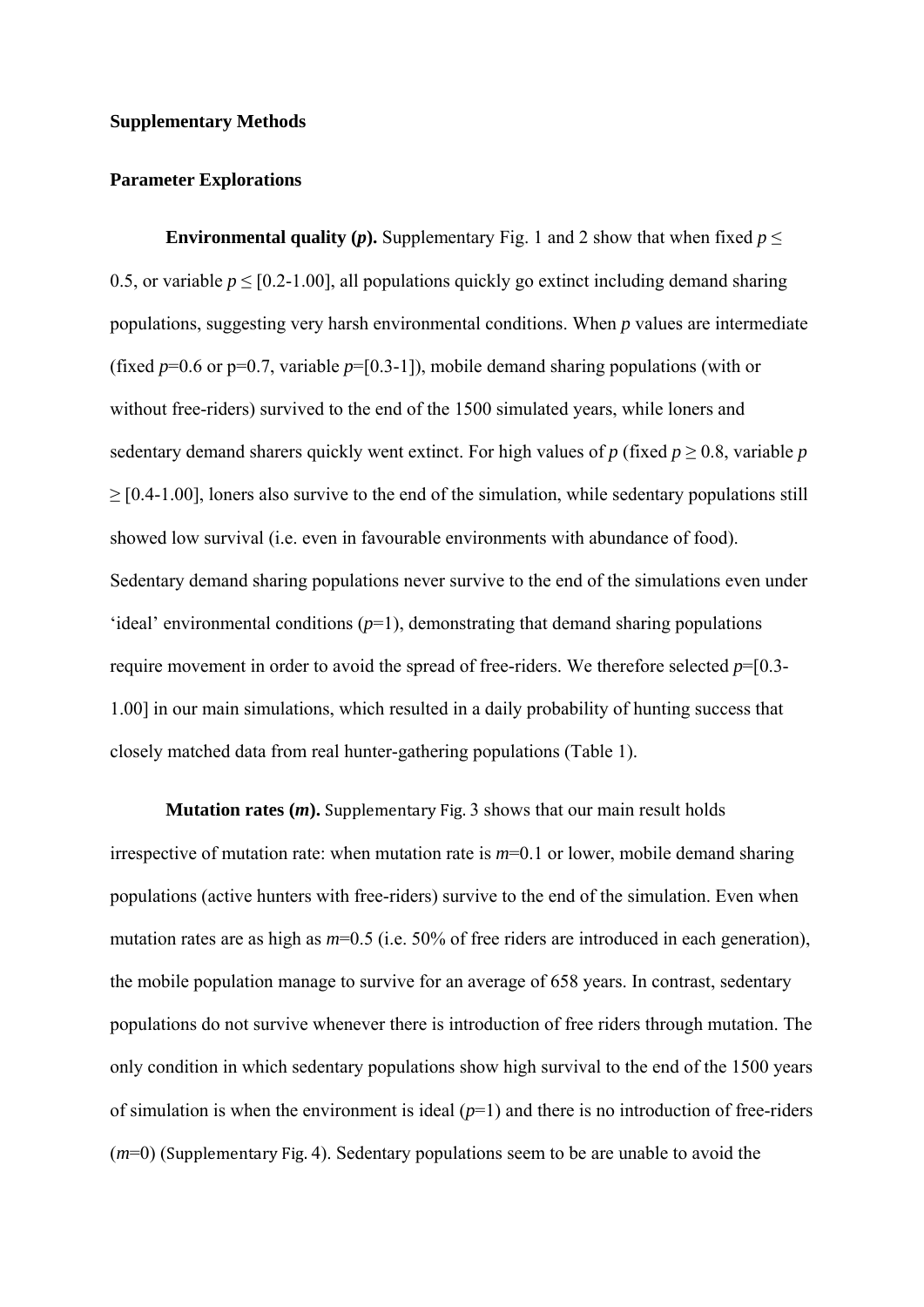#### **Supplementary Methods**

#### **Parameter Explorations**

**Environmental quality (***p***).** Supplementary Fig. 1 and 2 show that when fixed  $p \le$ 0.5, or variable  $p \leq [0.2-1.00]$ , all populations quickly go extinct including demand sharing populations, suggesting very harsh environmental conditions. When *p* values are intermediate (fixed  $p=0.6$  or  $p=0.7$ , variable  $p=[0.3-1]$ ), mobile demand sharing populations (with or without free-riders) survived to the end of the 1500 simulated years, while loners and sedentary demand sharers quickly went extinct. For high values of  $p$  (fixed  $p \ge 0.8$ , variable  $p$ )  $\geq$  [0.4-1.00], loners also survive to the end of the simulation, while sedentary populations still showed low survival (i.e. even in favourable environments with abundance of food). Sedentary demand sharing populations never survive to the end of the simulations even under 'ideal' environmental conditions  $(p=1)$ , demonstrating that demand sharing populations require movement in order to avoid the spread of free-riders. We therefore selected *p*=[0.3- 1.00] in our main simulations, which resulted in a daily probability of hunting success that closely matched data from real hunter-gathering populations (Table 1).

**Mutation rates**  $(m)$ **.** Supplementary Fig. 3 shows that our main result holds irrespective of mutation rate: when mutation rate is  $m=0.1$  or lower, mobile demand sharing populations (active hunters with free-riders) survive to the end of the simulation. Even when mutation rates are as high as  $m=0.5$  (i.e. 50% of free riders are introduced in each generation), the mobile population manage to survive for an average of 658 years. In contrast, sedentary populations do not survive whenever there is introduction of free riders through mutation. The only condition in which sedentary populations show high survival to the end of the 1500 years of simulation is when the environment is ideal  $(p=1)$  and there is no introduction of free-riders  $(m=0)$  (Supplementary Fig. 4). Sedentary populations seem to be are unable to avoid the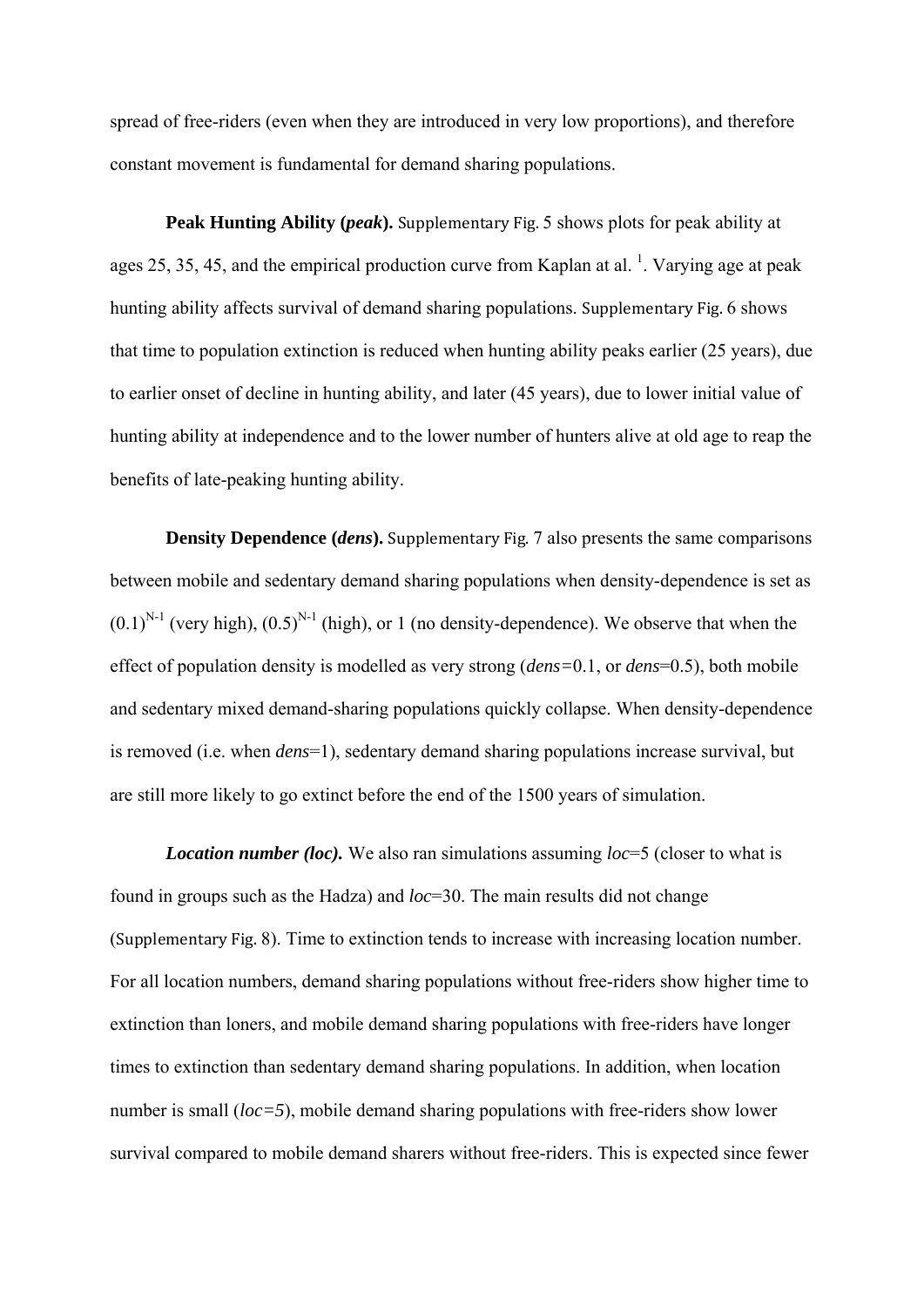spread of free-riders (even when they are introduced in very low proportions), and therefore constant movement is fundamental for demand sharing populations.

**Peak Hunting Ability (***peak*). Supplementary Fig. 5 shows plots for peak ability at ages 25, 35, 45, and the empirical production curve from Kaplan at al.  $^1$ . Varying age at peak hunting ability affects survival of demand sharing populations. Supplementary Fig. 6 shows that time to population extinction is reduced when hunting ability peaks earlier (25 years), due to earlier onset of decline in hunting ability, and later (45 years), due to lower initial value of hunting ability at independence and to the lower number of hunters alive at old age to reap the benefits of late-peaking hunting ability.

**Density Dependence (***dens*). Supplementary Fig. 7 also presents the same comparisons between mobile and sedentary demand sharing populations when density-dependence is set as  $(0.1)^{N-1}$  (very high),  $(0.5)^{N-1}$  (high), or 1 (no density-dependence). We observe that when the effect of population density is modelled as very strong (*dens=*0.1, or *dens*=0.5), both mobile and sedentary mixed demand-sharing populations quickly collapse. When density-dependence is removed (i.e. when *dens*=1), sedentary demand sharing populations increase survival, but are still more likely to go extinct before the end of the 1500 years of simulation.

*Location number (loc).* We also ran simulations assuming *loc*=5 (closer to what is found in groups such as the Hadza) and *loc*=30. The main results did not change (Supplementary Fig. 8). Time to extinction tends to increase with increasing location number. For all location numbers, demand sharing populations without free-riders show higher time to extinction than loners, and mobile demand sharing populations with free-riders have longer times to extinction than sedentary demand sharing populations. In addition, when location number is small (*loc=5*), mobile demand sharing populations with free-riders show lower survival compared to mobile demand sharers without free-riders. This is expected since fewer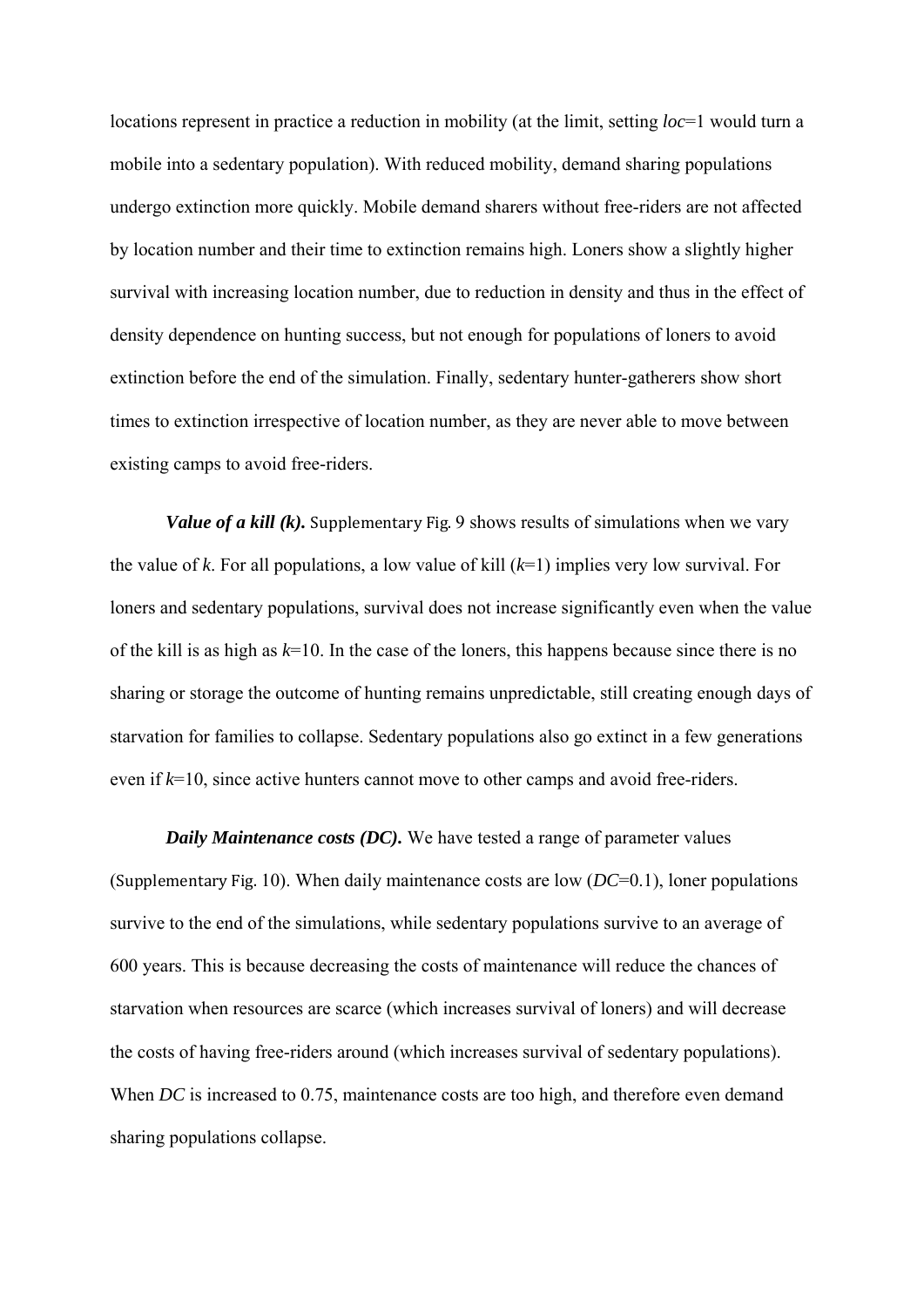locations represent in practice a reduction in mobility (at the limit, setting *loc*=1 would turn a mobile into a sedentary population). With reduced mobility, demand sharing populations undergo extinction more quickly. Mobile demand sharers without free-riders are not affected by location number and their time to extinction remains high. Loners show a slightly higher survival with increasing location number, due to reduction in density and thus in the effect of density dependence on hunting success, but not enough for populations of loners to avoid extinction before the end of the simulation. Finally, sedentary hunter-gatherers show short times to extinction irrespective of location number, as they are never able to move between existing camps to avoid free-riders.

*Value of a kill (k).* Supplementary Fig. 9 shows results of simulations when we vary the value of *k*. For all populations, a low value of kill (*k*=1) implies very low survival. For loners and sedentary populations, survival does not increase significantly even when the value of the kill is as high as  $k=10$ . In the case of the loners, this happens because since there is no sharing or storage the outcome of hunting remains unpredictable, still creating enough days of starvation for families to collapse. Sedentary populations also go extinct in a few generations even if *k*=10, since active hunters cannot move to other camps and avoid free-riders.

*Daily Maintenance costs (DC).* We have tested a range of parameter values (Supplementary Fig. 10). When daily maintenance costs are low  $(DC=0.1)$ , loner populations survive to the end of the simulations, while sedentary populations survive to an average of 600 years. This is because decreasing the costs of maintenance will reduce the chances of starvation when resources are scarce (which increases survival of loners) and will decrease the costs of having free-riders around (which increases survival of sedentary populations). When *DC* is increased to 0.75, maintenance costs are too high, and therefore even demand sharing populations collapse.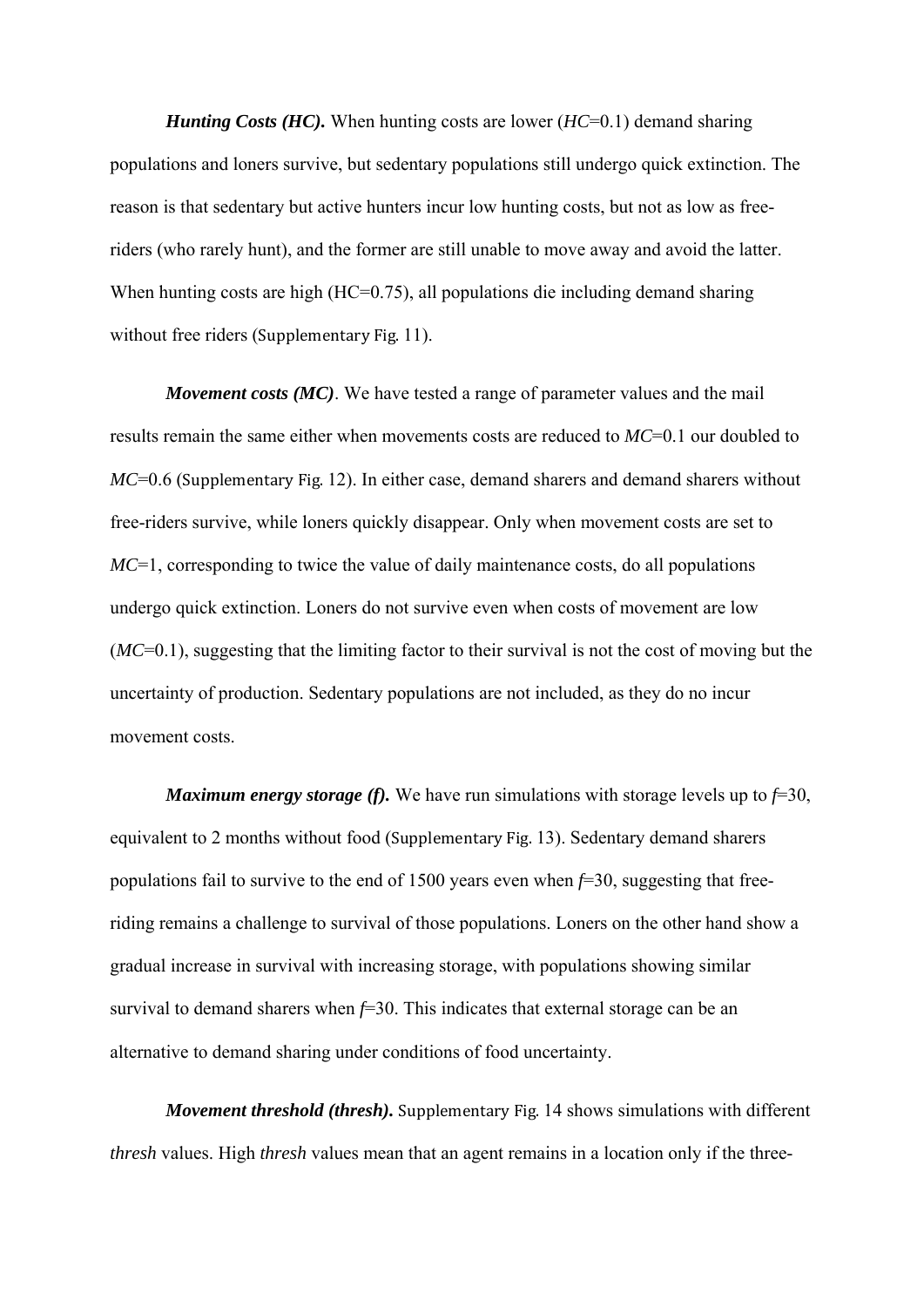*Hunting Costs (HC).* When hunting costs are lower (*HC*=0.1) demand sharing populations and loners survive, but sedentary populations still undergo quick extinction. The reason is that sedentary but active hunters incur low hunting costs, but not as low as freeriders (who rarely hunt), and the former are still unable to move away and avoid the latter. When hunting costs are high (HC=0.75), all populations die including demand sharing without free riders (Supplementary Fig. 11).

*Movement costs (MC)*. We have tested a range of parameter values and the mail results remain the same either when movements costs are reduced to *MC*=0.1 our doubled to *MC*=0.6 (Supplementary Fig. 12). In either case, demand sharers and demand sharers without free-riders survive, while loners quickly disappear. Only when movement costs are set to *MC*=1, corresponding to twice the value of daily maintenance costs, do all populations undergo quick extinction. Loners do not survive even when costs of movement are low (*MC*=0.1), suggesting that the limiting factor to their survival is not the cost of moving but the uncertainty of production. Sedentary populations are not included, as they do no incur movement costs.

*Maximum energy storage (f).* We have run simulations with storage levels up to  $f=30$ , equivalent to 2 months without food (Supplementary Fig. 13). Sedentary demand sharers populations fail to survive to the end of 1500 years even when *f*=30, suggesting that freeriding remains a challenge to survival of those populations. Loners on the other hand show a gradual increase in survival with increasing storage, with populations showing similar survival to demand sharers when  $f=30$ . This indicates that external storage can be an alternative to demand sharing under conditions of food uncertainty.

*Movement threshold (thresh).* Supplementary Fig. 14 shows simulations with different *thresh* values. High *thresh* values mean that an agent remains in a location only if the three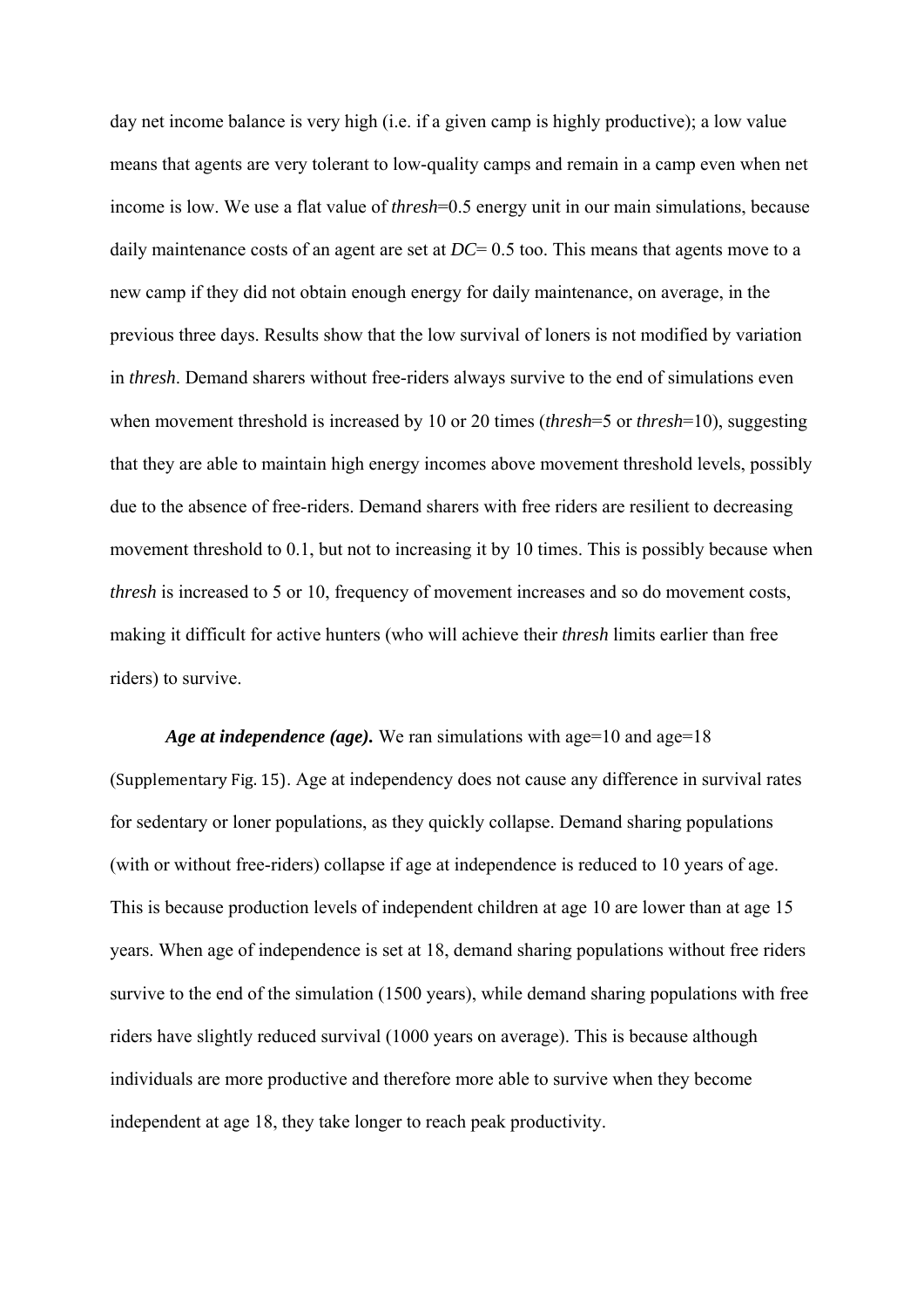day net income balance is very high (i.e. if a given camp is highly productive); a low value means that agents are very tolerant to low-quality camps and remain in a camp even when net income is low. We use a flat value of *thresh*=0.5 energy unit in our main simulations, because daily maintenance costs of an agent are set at *DC*= 0.5 too. This means that agents move to a new camp if they did not obtain enough energy for daily maintenance, on average, in the previous three days. Results show that the low survival of loners is not modified by variation in *thresh*. Demand sharers without free-riders always survive to the end of simulations even when movement threshold is increased by 10 or 20 times (*thresh*=5 or *thresh*=10), suggesting that they are able to maintain high energy incomes above movement threshold levels, possibly due to the absence of free-riders. Demand sharers with free riders are resilient to decreasing movement threshold to 0.1, but not to increasing it by 10 times. This is possibly because when *thresh* is increased to 5 or 10, frequency of movement increases and so do movement costs, making it difficult for active hunters (who will achieve their *thresh* limits earlier than free riders) to survive.

*Age at independence (age).* We ran simulations with age=10 and age=18 (Supplementary Fig. 15). Age at independency does not cause any difference in survival rates for sedentary or loner populations, as they quickly collapse. Demand sharing populations (with or without free-riders) collapse if age at independence is reduced to 10 years of age. This is because production levels of independent children at age 10 are lower than at age 15 years. When age of independence is set at 18, demand sharing populations without free riders survive to the end of the simulation (1500 years), while demand sharing populations with free riders have slightly reduced survival (1000 years on average). This is because although individuals are more productive and therefore more able to survive when they become independent at age 18, they take longer to reach peak productivity.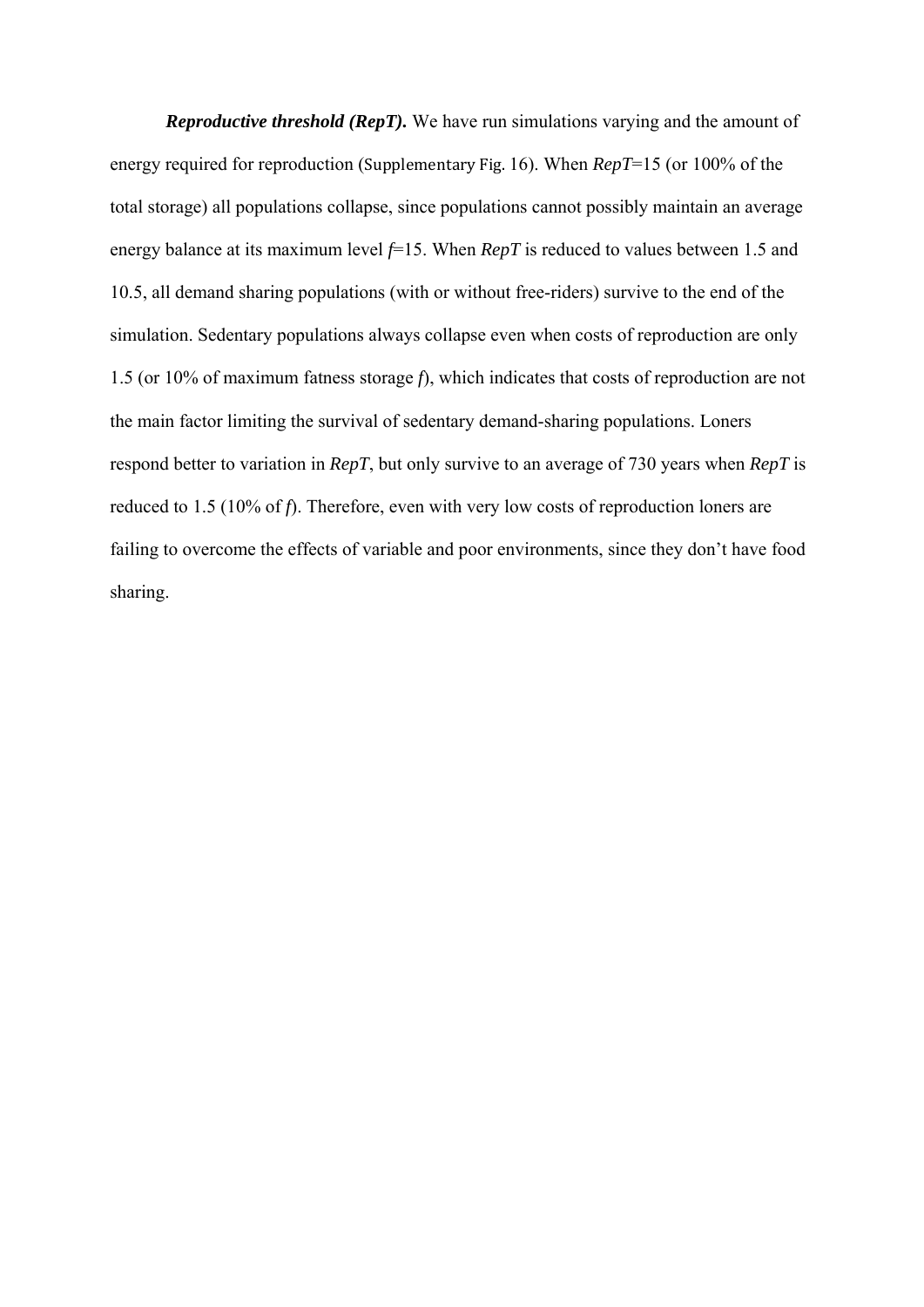*Reproductive threshold (RepT).* We have run simulations varying and the amount of energy required for reproduction (Supplementary Fig. 16). When *RepT*=15 (or 100% of the total storage) all populations collapse, since populations cannot possibly maintain an average energy balance at its maximum level *f*=15. When *RepT* is reduced to values between 1.5 and 10.5, all demand sharing populations (with or without free-riders) survive to the end of the simulation. Sedentary populations always collapse even when costs of reproduction are only 1.5 (or 10% of maximum fatness storage *f*), which indicates that costs of reproduction are not the main factor limiting the survival of sedentary demand-sharing populations. Loners respond better to variation in *RepT*, but only survive to an average of 730 years when *RepT* is reduced to 1.5 (10% of *f*). Therefore, even with very low costs of reproduction loners are failing to overcome the effects of variable and poor environments, since they don't have food sharing.